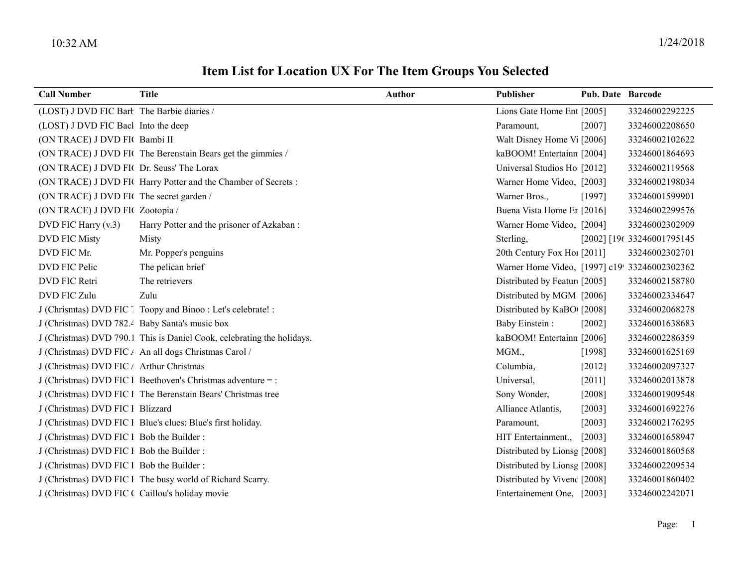## Item List for Location UX For The Item Groups You Selected

| <b>Call Number</b>                              | <b>Title</b>                                                           | <b>Author</b> | Publisher                                     | Pub. Date Barcode |                            |
|-------------------------------------------------|------------------------------------------------------------------------|---------------|-----------------------------------------------|-------------------|----------------------------|
| (LOST) J DVD FIC Bart The Barbie diaries /      |                                                                        |               | Lions Gate Home Ent [2005]                    |                   | 33246002292225             |
| (LOST) J DVD FIC Bacl Into the deep             |                                                                        |               | Paramount,                                    | $[2007]$          | 33246002208650             |
| (ON TRACE) J DVD FI( Bambi II                   |                                                                        |               | Walt Disney Home V <sub>1</sub> [2006]        |                   | 33246002102622             |
|                                                 | (ON TRACE) J DVD FIC The Berenstain Bears get the gimmies /            |               | kaBOOM! Entertainn [2004]                     |                   | 33246001864693             |
| (ON TRACE) J DVD FI( Dr. Seuss' The Lorax       |                                                                        |               | Universal Studios Ho [2012]                   |                   | 33246002119568             |
|                                                 | (ON TRACE) J DVD FIC Harry Potter and the Chamber of Secrets :         |               | Warner Home Video, [2003]                     |                   | 33246002198034             |
| (ON TRACE) J DVD FIC The secret garden /        |                                                                        |               | Warner Bros.,                                 | [1997]            | 33246001599901             |
| (ON TRACE) J DVD FIC Zootopia /                 |                                                                        |               | Buena Vista Home Er [2016]                    |                   | 33246002299576             |
| DVD FIC Harry (v.3)                             | Harry Potter and the prisoner of Azkaban :                             |               | Warner Home Video, [2004]                     |                   | 33246002302909             |
| <b>DVD FIC Misty</b>                            | Misty                                                                  |               | Sterling,                                     |                   | [2002] [196 33246001795145 |
| DVD FIC Mr.                                     | Mr. Popper's penguins                                                  |               | 20th Century Fox Hol [2011]                   |                   | 33246002302701             |
| DVD FIC Pelic                                   | The pelican brief                                                      |               | Warner Home Video, [1997] c19! 33246002302362 |                   |                            |
| DVD FIC Retri                                   | The retrievers                                                         |               | Distributed by Featur [2005]                  |                   | 33246002158780             |
| DVD FIC Zulu                                    | Zulu                                                                   |               | Distributed by MGM [2006]                     |                   | 33246002334647             |
|                                                 | J (Chrismtas) DVD FIC [ Toopy and Binoo : Let's celebrate! :           |               | Distributed by KaBO [2008]                    |                   | 33246002068278             |
| J (Christmas) DVD 782.4 Baby Santa's music box  |                                                                        |               | <b>Baby Einstein:</b>                         | $[2002]$          | 33246001638683             |
|                                                 | J (Christmas) DVD 790.1 This is Daniel Cook, celebrating the holidays. |               | kaBOOM! Entertainn [2006]                     |                   | 33246002286359             |
|                                                 | J (Christmas) DVD FIC / An all dogs Christmas Carol /                  |               | MGM.,                                         | [1998]            | 33246001625169             |
| J (Christmas) DVD FIC / Arthur Christmas        |                                                                        |               | Columbia,                                     | $[2012]$          | 33246002097327             |
|                                                 | J (Christmas) DVD FIC 1 Beethoven's Christmas adventure = :            |               | Universal,                                    | $[2011]$          | 33246002013878             |
|                                                 | J (Christmas) DVD FIC 1 The Berenstain Bears' Christmas tree           |               | Sony Wonder,                                  | [2008]            | 33246001909548             |
| J (Christmas) DVD FIC 1 Blizzard                |                                                                        |               | Alliance Atlantis,                            | $[2003]$          | 33246001692276             |
|                                                 | J (Christmas) DVD FIC 1 Blue's clues: Blue's first holiday.            |               | Paramount,                                    | [2003]            | 33246002176295             |
| J (Christmas) DVD FIC 1 Bob the Builder:        |                                                                        |               | HIT Entertainment.,                           | $[2003]$          | 33246001658947             |
| J (Christmas) DVD FIC 1 Bob the Builder:        |                                                                        |               | Distributed by Lionsg [2008]                  |                   | 33246001860568             |
| J (Christmas) DVD FIC 1 Bob the Builder:        |                                                                        |               | Distributed by Lionsg [2008]                  |                   | 33246002209534             |
|                                                 | J (Christmas) DVD FIC 1 The busy world of Richard Scarry.              |               | Distributed by Vivenc [2008]                  |                   | 33246001860402             |
| J (Christmas) DVD FIC ( Caillou's holiday movie |                                                                        |               | Entertainement One, [2003]                    |                   | 33246002242071             |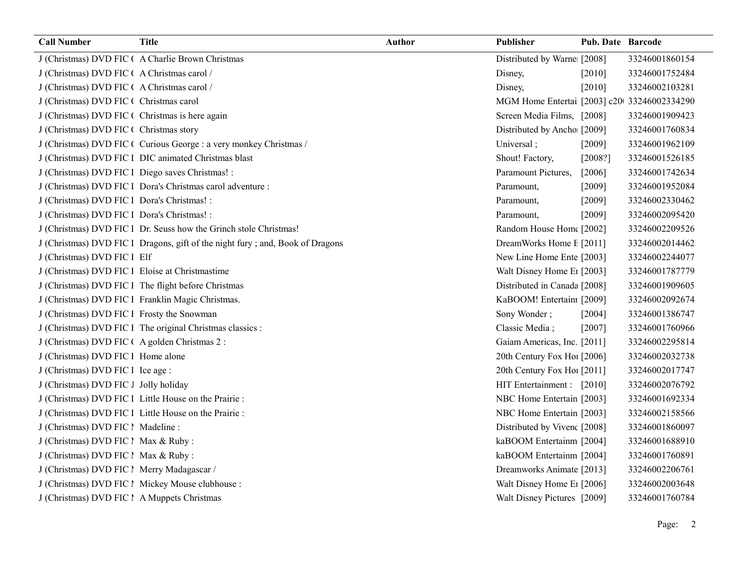| <b>Call Number</b>                               | <b>Title</b>                                                                  | <b>Author</b> | Publisher                                   | Pub. Date Barcode |                |
|--------------------------------------------------|-------------------------------------------------------------------------------|---------------|---------------------------------------------|-------------------|----------------|
|                                                  | J (Christmas) DVD FIC ( A Charlie Brown Christmas                             |               | Distributed by Warne [2008]                 |                   | 33246001860154 |
| J (Christmas) DVD FIC ( A Christmas carol /      |                                                                               |               | Disney,                                     | [2010]            | 33246001752484 |
| J (Christmas) DVD FIC ( A Christmas carol /      |                                                                               |               | Disney,                                     | $[2010]$          | 33246002103281 |
| J (Christmas) DVD FIC ( Christmas carol          |                                                                               |               | MGM Home Entertai [2003] c20 33246002334290 |                   |                |
| J (Christmas) DVD FIC (Christmas is here again   |                                                                               |               | Screen Media Films, [2008]                  |                   | 33246001909423 |
| J (Christmas) DVD FIC ( Christmas story          |                                                                               |               | Distributed by Ancho [2009]                 |                   | 33246001760834 |
|                                                  | J (Christmas) DVD FIC ( Curious George : a very monkey Christmas /            |               | Universal;                                  | $[2009]$          | 33246001962109 |
|                                                  | J (Christmas) DVD FIC 1 DIC animated Christmas blast                          |               | Shout! Factory,                             | $[2008?]$         | 33246001526185 |
| J (Christmas) DVD FIC l Diego saves Christmas! : |                                                                               |               | Paramount Pictures,                         | [2006]            | 33246001742634 |
|                                                  | J (Christmas) DVD FIC l Dora's Christmas carol adventure :                    |               | Paramount,                                  | [2009]            | 33246001952084 |
| J (Christmas) DVD FIC 1 Dora's Christmas! :      |                                                                               |               | Paramount,                                  | [2009]            | 33246002330462 |
| J (Christmas) DVD FIC 1 Dora's Christmas! :      |                                                                               |               | Paramount,                                  | [2009]            | 33246002095420 |
|                                                  | J (Christmas) DVD FIC 1 Dr. Seuss how the Grinch stole Christmas!             |               | Random House Home [2002]                    |                   | 33246002209526 |
|                                                  | J (Christmas) DVD FIC 1 Dragons, gift of the night fury; and, Book of Dragons |               | DreamWorks Home E [2011]                    |                   | 33246002014462 |
| J (Christmas) DVD FIC 1 Elf                      |                                                                               |               | New Line Home Ente [2003]                   |                   | 33246002244077 |
| J (Christmas) DVD FIC 1 Eloise at Christmastime  |                                                                               |               | Walt Disney Home E <sub>1</sub> [2003]      |                   | 33246001787779 |
|                                                  | J (Christmas) DVD FIC 1 The flight before Christmas                           |               | Distributed in Canada [2008]                |                   | 33246001909605 |
|                                                  | J (Christmas) DVD FIC 1 Franklin Magic Christmas.                             |               | KaBOOM! Entertainı [2009]                   |                   | 33246002092674 |
| J (Christmas) DVD FIC 1 Frosty the Snowman       |                                                                               |               | Sony Wonder;                                | [2004]            | 33246001386747 |
|                                                  | J (Christmas) DVD FIC 1 The original Christmas classics :                     |               | Classic Media;                              | $[2007]$          | 33246001760966 |
| J (Christmas) DVD FIC ( A golden Christmas 2:    |                                                                               |               | Gaiam Americas, Inc. [2011]                 |                   | 33246002295814 |
| J (Christmas) DVD FIC 1 Home alone               |                                                                               |               | 20th Century Fox Ho! [2006]                 |                   | 33246002032738 |
| J (Christmas) DVD FIC 1 Ice age :                |                                                                               |               | 20th Century Fox Ho! [2011]                 |                   | 33246002017747 |
| J (Christmas) DVD FIC J Jolly holiday            |                                                                               |               | HIT Entertainment : [2010]                  |                   | 33246002076792 |
|                                                  | J (Christmas) DVD FIC 1 Little House on the Prairie :                         |               | NBC Home Entertain [2003]                   |                   | 33246001692334 |
|                                                  | J (Christmas) DVD FIC 1 Little House on the Prairie :                         |               | NBC Home Entertain [2003]                   |                   | 33246002158566 |
| J (Christmas) DVD FIC 1 Madeline :               |                                                                               |               | Distributed by Vivenc [2008]                |                   | 33246001860097 |
| J (Christmas) DVD FIC ! Max & Ruby :             |                                                                               |               | kaBOOM Entertainm [2004]                    |                   | 33246001688910 |
| J (Christmas) DVD FIC ! Max & Ruby :             |                                                                               |               | kaBOOM Entertainm [2004]                    |                   | 33246001760891 |
| J (Christmas) DVD FIC 1 Merry Madagascar /       |                                                                               |               | Dreamworks Animate [2013]                   |                   | 33246002206761 |
|                                                  | J (Christmas) DVD FIC 1 Mickey Mouse clubhouse :                              |               | Walt Disney Home E1 [2006]                  |                   | 33246002003648 |
| J (Christmas) DVD FIC 1 A Muppets Christmas      |                                                                               |               | Walt Disney Pictures [2009]                 |                   | 33246001760784 |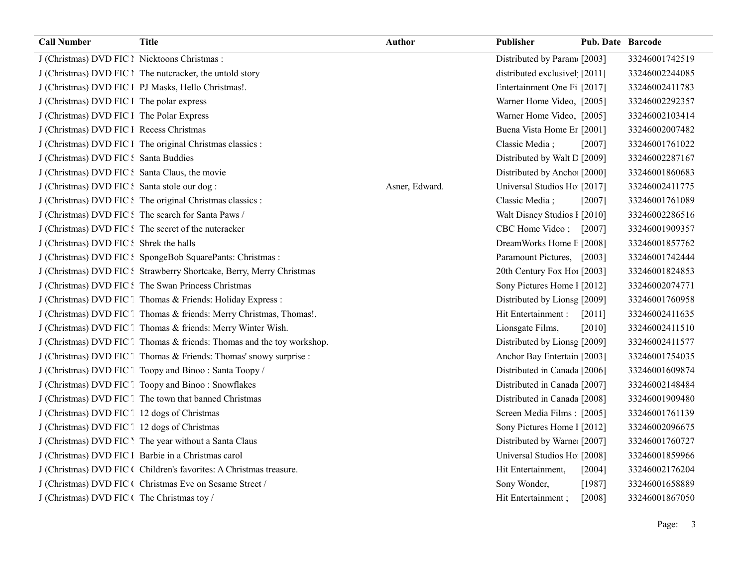| <b>Call Number</b>                             | <b>Title</b>                                                           | Author         | Publisher                     | <b>Pub. Date Barcode</b> |                |
|------------------------------------------------|------------------------------------------------------------------------|----------------|-------------------------------|--------------------------|----------------|
| J (Christmas) DVD FIC 1 Nicktoons Christmas :  |                                                                        |                | Distributed by Param [2003]   |                          | 33246001742519 |
|                                                | J (Christmas) DVD FIC 1 The nutcracker, the untold story               |                | distributed exclusivel [2011] |                          | 33246002244085 |
|                                                | J (Christmas) DVD FIC 1 PJ Masks, Hello Christmas!.                    |                | Entertainment One Fi [2017]   |                          | 33246002411783 |
| J (Christmas) DVD FIC 1 The polar express      |                                                                        |                | Warner Home Video, [2005]     |                          | 33246002292357 |
| J (Christmas) DVD FIC 1 The Polar Express      |                                                                        |                | Warner Home Video, [2005]     |                          | 33246002103414 |
| J (Christmas) DVD FIC 1 Recess Christmas       |                                                                        |                | Buena Vista Home Er [2001]    |                          | 33246002007482 |
|                                                | J (Christmas) DVD FIC 1 The original Christmas classics :              |                | Classic Media;                | [2007]                   | 33246001761022 |
| J (Christmas) DVD FIC: Santa Buddies           |                                                                        |                | Distributed by Walt L [2009]  |                          | 33246002287167 |
| J (Christmas) DVD FIC : Santa Claus, the movie |                                                                        |                | Distributed by Ancho [2000]   |                          | 33246001860683 |
| J (Christmas) DVD FIC : Santa stole our dog :  |                                                                        | Asner, Edward. | Universal Studios Ho [2017]   |                          | 33246002411775 |
|                                                | J (Christmas) DVD FIC: The original Christmas classics :               |                | Classic Media;                | [2007]                   | 33246001761089 |
|                                                | J (Christmas) DVD FIC: The search for Santa Paws /                     |                | Walt Disney Studios 1 [2010]  |                          | 33246002286516 |
|                                                | J (Christmas) DVD FIC: The secret of the nutcracker                    |                | CBC Home Video;               | $[2007]$                 | 33246001909357 |
| J (Christmas) DVD FIC: Shrek the halls         |                                                                        |                | DreamWorks Home E [2008]      |                          | 33246001857762 |
|                                                | J (Christmas) DVD FIC ! SpongeBob SquarePants: Christmas :             |                | Paramount Pictures, [2003]    |                          | 33246001742444 |
|                                                | J (Christmas) DVD FIC: Strawberry Shortcake, Berry, Merry Christmas    |                | 20th Century Fox Hol [2003]   |                          | 33246001824853 |
|                                                | J (Christmas) DVD FIC: The Swan Princess Christmas                     |                | Sony Pictures Home 1 [2012]   |                          | 33246002074771 |
|                                                | J (Christmas) DVD FIC [ Thomas & Friends: Holiday Express :            |                | Distributed by Lionsg [2009]  |                          | 33246001760958 |
|                                                | J (Christmas) DVD FIC [ Thomas & friends: Merry Christmas, Thomas!.    |                | Hit Entertainment :           | $[2011]$                 | 33246002411635 |
|                                                | J (Christmas) DVD FIC [ Thomas & friends: Merry Winter Wish.           |                | Lionsgate Films,              | [2010]                   | 33246002411510 |
|                                                | J (Christmas) DVD FIC [ Thomas & friends: Thomas and the toy workshop. |                | Distributed by Lionsg [2009]  |                          | 33246002411577 |
|                                                | J (Christmas) DVD FIC [ Thomas & Friends: Thomas' snowy surprise :     |                | Anchor Bay Entertain [2003]   |                          | 33246001754035 |
|                                                | J (Christmas) DVD FIC [ Toopy and Binoo: Santa Toopy /                 |                | Distributed in Canada [2006]  |                          | 33246001609874 |
|                                                | J (Christmas) DVD FIC [ Toopy and Binoo: Snowflakes                    |                | Distributed in Canada [2007]  |                          | 33246002148484 |
|                                                | J (Christmas) DVD FIC [ The town that banned Christmas                 |                | Distributed in Canada [2008]  |                          | 33246001909480 |
| J (Christmas) DVD FIC [12 dogs of Christmas    |                                                                        |                | Screen Media Films: [2005]    |                          | 33246001761139 |
| J (Christmas) DVD FIC [ 12 dogs of Christmas   |                                                                        |                | Sony Pictures Home 1 [2012]   |                          | 33246002096675 |
|                                                | J (Christmas) DVD FIC 'The year without a Santa Claus                  |                | Distributed by Warne [2007]   |                          | 33246001760727 |
|                                                | J (Christmas) DVD FIC 1 Barbie in a Christmas carol                    |                | Universal Studios Ho [2008]   |                          | 33246001859966 |
|                                                | J (Christmas) DVD FIC (Children's favorites: A Christmas treasure.     |                | Hit Entertainment,            | [2004]                   | 33246002176204 |
|                                                | J (Christmas) DVD FIC ( Christmas Eve on Sesame Street /               |                | Sony Wonder,                  | [1987]                   | 33246001658889 |
| J (Christmas) DVD FIC (The Christmas toy /     |                                                                        |                | Hit Entertainment;            | [2008]                   | 33246001867050 |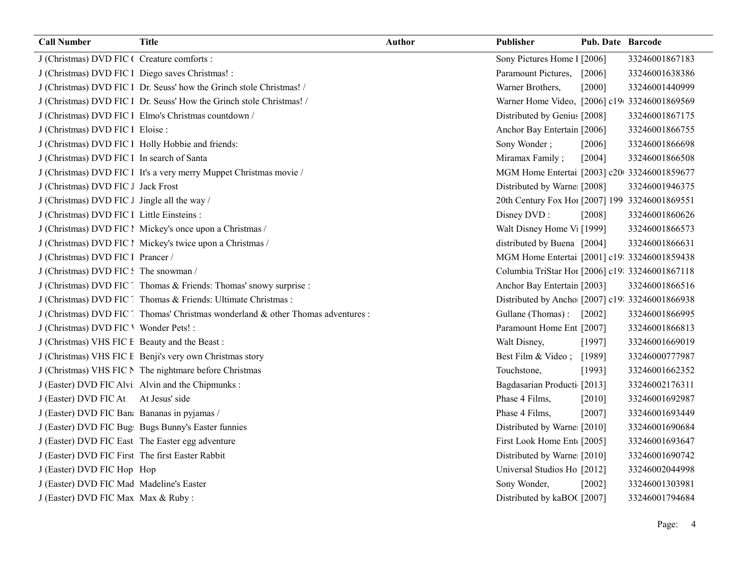| <b>Call Number</b>                               | <b>Title</b>                                                                     | <b>Author</b> | Publisher                                       | <b>Pub. Date Barcode</b> |                |
|--------------------------------------------------|----------------------------------------------------------------------------------|---------------|-------------------------------------------------|--------------------------|----------------|
| J (Christmas) DVD FIC ( Creature comforts :      |                                                                                  |               | Sony Pictures Home 1 [2006]                     |                          | 33246001867183 |
| J (Christmas) DVD FIC l Diego saves Christmas! : |                                                                                  |               | Paramount Pictures,                             | $[2006]$                 | 33246001638386 |
|                                                  | J (Christmas) DVD FIC 1 Dr. Seuss' how the Grinch stole Christmas! /             |               | Warner Brothers,                                | [2000]                   | 33246001440999 |
|                                                  | J (Christmas) DVD FIC 1 Dr. Seuss' How the Grinch stole Christmas! /             |               | Warner Home Video, [2006] c19 33246001869569    |                          |                |
|                                                  | J (Christmas) DVD FIC 1 Elmo's Christmas countdown /                             |               | Distributed by Genius [2008]                    |                          | 33246001867175 |
| J (Christmas) DVD FIC 1 Eloise :                 |                                                                                  |               | Anchor Bay Entertain [2006]                     |                          | 33246001866755 |
|                                                  | J (Christmas) DVD FIC 1 Holly Hobbie and friends:                                |               | Sony Wonder;                                    | [2006]                   | 33246001866698 |
| J (Christmas) DVD FIC 1 In search of Santa       |                                                                                  |               | Miramax Family;                                 | [2004]                   | 33246001866508 |
|                                                  | J (Christmas) DVD FIC 1 It's a very merry Muppet Christmas movie /               |               | MGM Home Entertai [2003] c20 33246001859677     |                          |                |
| J (Christmas) DVD FIC J Jack Frost               |                                                                                  |               | Distributed by Warne [2008]                     |                          | 33246001946375 |
| J (Christmas) DVD FIC J Jingle all the way /     |                                                                                  |               | 20th Century Fox Hoi [2007] 199 33246001869551  |                          |                |
| J (Christmas) DVD FIC 1 Little Einsteins :       |                                                                                  |               | Disney DVD:                                     | [2008]                   | 33246001860626 |
|                                                  | J (Christmas) DVD FIC l Mickey's once upon a Christmas /                         |               | Walt Disney Home V <sub>1</sub> [1999]          |                          | 33246001866573 |
|                                                  | J (Christmas) DVD FIC l Mickey's twice upon a Christmas /                        |               | distributed by Buena [2004]                     |                          | 33246001866631 |
| J (Christmas) DVD FIC 1 Prancer /                |                                                                                  |               | MGM Home Entertai [2001] c19: 33246001859438    |                          |                |
| J (Christmas) DVD FIC: The snowman /             |                                                                                  |               | Columbia TriStar Hoi [2006] c19: 33246001867118 |                          |                |
|                                                  | J (Christmas) DVD FIC Thomas & Friends: Thomas' snowy surprise :                 |               | Anchor Bay Entertain [2003]                     |                          | 33246001866516 |
|                                                  | J (Christmas) DVD FIC [ Thomas & Friends: Ultimate Christmas :                   |               | Distributed by Ancho [2007] c19: 33246001866938 |                          |                |
|                                                  | J (Christmas) DVD FIC [ Thomas' Christmas wonderland & other Thomas adventures : |               | Gullane (Thomas):                               | $[2002]$                 | 33246001866995 |
| J (Christmas) DVD FIC ' Wonder Pets! :           |                                                                                  |               | Paramount Home Ent [2007]                       |                          | 33246001866813 |
| J (Christmas) VHS FIC E Beauty and the Beast:    |                                                                                  |               | Walt Disney,                                    | [1997]                   | 33246001669019 |
|                                                  | J (Christmas) VHS FIC E Benji's very own Christmas story                         |               | Best Film & Video;                              | [1989]                   | 33246000777987 |
|                                                  | J (Christmas) VHS FIC N The nightmare before Christmas                           |               | Touchstone,                                     | [1993]                   | 33246001662352 |
|                                                  | J (Easter) DVD FIC Alvi Alvin and the Chipmunks :                                |               | Bagdasarian Producti [2013]                     |                          | 33246002176311 |
| J (Easter) DVD FIC At                            | At Jesus' side                                                                   |               | Phase 4 Films,                                  | [2010]                   | 33246001692987 |
| J (Easter) DVD FIC Ban: Bananas in pyjamas /     |                                                                                  |               | Phase 4 Films,                                  | [2007]                   | 33246001693449 |
|                                                  | J (Easter) DVD FIC Bug Bugs Bunny's Easter funnies                               |               | Distributed by Warne: [2010]                    |                          | 33246001690684 |
|                                                  | J (Easter) DVD FIC East The Easter egg adventure                                 |               | First Look Home Ent [2005]                      |                          | 33246001693647 |
| J (Easter) DVD FIC First The first Easter Rabbit |                                                                                  |               | Distributed by Warne [2010]                     |                          | 33246001690742 |
| J (Easter) DVD FIC Hop Hop                       |                                                                                  |               | Universal Studios Ho [2012]                     |                          | 33246002044998 |
| J (Easter) DVD FIC Mad Madeline's Easter         |                                                                                  |               | Sony Wonder,                                    | [2002]                   | 33246001303981 |
| J (Easter) DVD FIC Max Max & Ruby:               |                                                                                  |               | Distributed by kaBO([2007]                      |                          | 33246001794684 |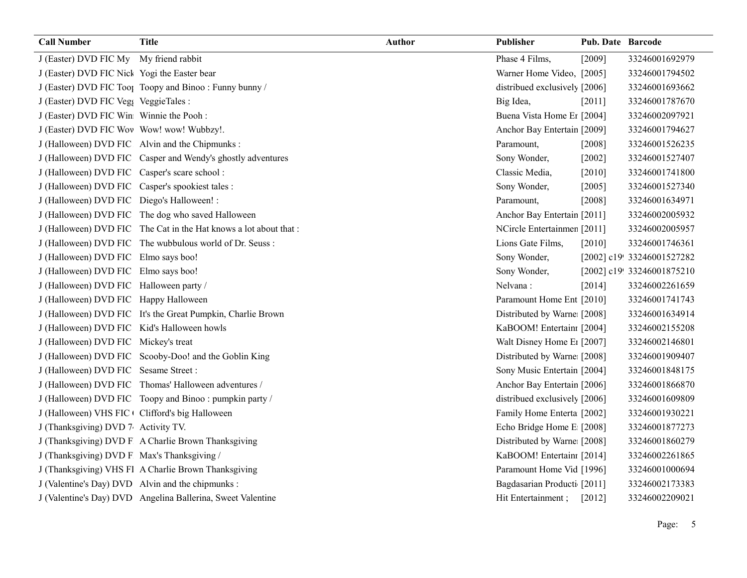| <b>Call Number</b>                             | <b>Title</b>                                                      | <b>Author</b> | Publisher                              | Pub. Date Barcode |                            |
|------------------------------------------------|-------------------------------------------------------------------|---------------|----------------------------------------|-------------------|----------------------------|
| J (Easter) DVD FIC My My friend rabbit         |                                                                   |               | Phase 4 Films,                         | [2009]            | 33246001692979             |
| J (Easter) DVD FIC Nick Yogi the Easter bear   |                                                                   |               | Warner Home Video, [2005]              |                   | 33246001794502             |
|                                                | J (Easter) DVD FIC Tool Toopy and Binoo: Funny bunny /            |               | distribued exclusively [2006]          |                   | 33246001693662             |
| J (Easter) DVD FIC Veg VeggieTales :           |                                                                   |               | Big Idea,                              | [2011]            | 33246001787670             |
| J (Easter) DVD FIC Win Winnie the Pooh :       |                                                                   |               | Buena Vista Home Er [2004]             |                   | 33246002097921             |
| J (Easter) DVD FIC Wov Wow! wow! Wubbzy!.      |                                                                   |               | Anchor Bay Entertain [2009]            |                   | 33246001794627             |
|                                                | J (Halloween) DVD FIC Alvin and the Chipmunks :                   |               | Paramount,                             | $[2008]$          | 33246001526235             |
|                                                | J (Halloween) DVD FIC Casper and Wendy's ghostly adventures       |               | Sony Wonder,                           | $[2002]$          | 33246001527407             |
| J (Halloween) DVD FIC Casper's scare school :  |                                                                   |               | Classic Media,                         | $[2010]$          | 33246001741800             |
|                                                | J (Halloween) DVD FIC Casper's spookiest tales :                  |               | Sony Wonder,                           | [2005]            | 33246001527340             |
| J (Halloween) DVD FIC Diego's Halloween! :     |                                                                   |               | Paramount,                             | [2008]            | 33246001634971             |
|                                                | J (Halloween) DVD FIC The dog who saved Halloween                 |               | Anchor Bay Entertain [2011]            |                   | 33246002005932             |
|                                                | J (Halloween) DVD FIC The Cat in the Hat knows a lot about that : |               | NCircle Entertainmen [2011]            |                   | 33246002005957             |
|                                                | J (Halloween) DVD FIC The wubbulous world of Dr. Seuss:           |               | Lions Gate Films,                      | [2010]            | 33246001746361             |
| J (Halloween) DVD FIC Elmo says boo!           |                                                                   |               | Sony Wonder,                           |                   | [2002] c19! 33246001527282 |
| J (Halloween) DVD FIC Elmo says boo!           |                                                                   |               | Sony Wonder,                           |                   | [2002] c19! 33246001875210 |
| J (Halloween) DVD FIC Halloween party /        |                                                                   |               | Nelvana:                               | [2014]            | 33246002261659             |
| J (Halloween) DVD FIC Happy Halloween          |                                                                   |               | Paramount Home Ent [2010]              |                   | 33246001741743             |
|                                                | J (Halloween) DVD FIC It's the Great Pumpkin, Charlie Brown       |               | Distributed by Warne [2008]            |                   | 33246001634914             |
| J (Halloween) DVD FIC Kid's Halloween howls    |                                                                   |               | KaBOOM! Entertain: [2004]              |                   | 33246002155208             |
| J (Halloween) DVD FIC Mickey's treat           |                                                                   |               | Walt Disney Home E <sub>1</sub> [2007] |                   | 33246002146801             |
|                                                | J (Halloween) DVD FIC Scooby-Doo! and the Goblin King             |               | Distributed by Warne [2008]            |                   | 33246001909407             |
| J (Halloween) DVD FIC Sesame Street:           |                                                                   |               | Sony Music Entertain [2004]            |                   | 33246001848175             |
|                                                | J (Halloween) DVD FIC Thomas' Halloween adventures /              |               | Anchor Bay Entertain [2006]            |                   | 33246001866870             |
|                                                | J (Halloween) DVD FIC Toopy and Binoo: pumpkin party /            |               | distribued exclusively [2006]          |                   | 33246001609809             |
| J (Halloween) VHS FIC Clifford's big Halloween |                                                                   |               | Family Home Enterta [2002]             |                   | 33246001930221             |
| J (Thanksgiving) DVD 7 Activity TV.            |                                                                   |               | Echo Bridge Home E [2008]              |                   | 33246001877273             |
|                                                | J (Thanksgiving) DVD F A Charlie Brown Thanksgiving               |               | Distributed by Warne [2008]            |                   | 33246001860279             |
| J (Thanksgiving) DVD F Max's Thanksgiving /    |                                                                   |               | KaBOOM! Entertain [2014]               |                   | 33246002261865             |
|                                                | J (Thanksgiving) VHS Fl A Charlie Brown Thanksgiving              |               | Paramount Home Vid [1996]              |                   | 33246001000694             |
|                                                | J (Valentine's Day) DVD Alvin and the chipmunks :                 |               | Bagdasarian Producti [2011]            |                   | 33246002173383             |
|                                                | J (Valentine's Day) DVD Angelina Ballerina, Sweet Valentine       |               | Hit Entertainment;                     | $[2012]$          | 33246002209021             |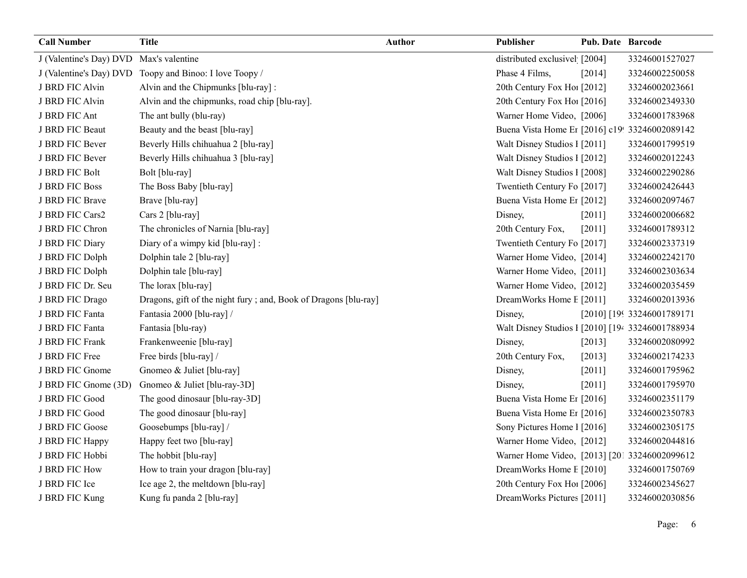| <b>Call Number</b>                      | <b>Title</b>                                                     | <b>Author</b> | Publisher                                        | Pub. Date Barcode |                            |
|-----------------------------------------|------------------------------------------------------------------|---------------|--------------------------------------------------|-------------------|----------------------------|
| J (Valentine's Day) DVD Max's valentine |                                                                  |               | distributed exclusivel [2004]                    |                   | 33246001527027             |
|                                         | J (Valentine's Day) DVD Toopy and Binoo: I love Toopy /          |               | Phase 4 Films,                                   | $[2014]$          | 33246002250058             |
| J BRD FIC Alvin                         | Alvin and the Chipmunks [blu-ray]:                               |               | 20th Century Fox Ho! [2012]                      |                   | 33246002023661             |
| J BRD FIC Alvin                         | Alvin and the chipmunks, road chip [blu-ray].                    |               | 20th Century Fox Ho! [2016]                      |                   | 33246002349330             |
| J BRD FIC Ant                           | The ant bully (blu-ray)                                          |               | Warner Home Video, [2006]                        |                   | 33246001783968             |
| J BRD FIC Beaut                         | Beauty and the beast [blu-ray]                                   |               | Buena Vista Home Er [2016] c19! 33246002089142   |                   |                            |
| J BRD FIC Bever                         | Beverly Hills chihuahua 2 [blu-ray]                              |               | Walt Disney Studios 1 [2011]                     |                   | 33246001799519             |
| J BRD FIC Bever                         | Beverly Hills chihuahua 3 [blu-ray]                              |               | Walt Disney Studios 1 [2012]                     |                   | 33246002012243             |
| J BRD FIC Bolt                          | Bolt [blu-ray]                                                   |               | Walt Disney Studios I [2008]                     |                   | 33246002290286             |
| J BRD FIC Boss                          | The Boss Baby [blu-ray]                                          |               | Twentieth Century Fo [2017]                      |                   | 33246002426443             |
| J BRD FIC Brave                         | Brave [blu-ray]                                                  |               | Buena Vista Home Er [2012]                       |                   | 33246002097467             |
| J BRD FIC Cars2                         | Cars 2 [blu-ray]                                                 |               | Disney,                                          | [2011]            | 33246002006682             |
| J BRD FIC Chron                         | The chronicles of Narnia [blu-ray]                               |               | 20th Century Fox,                                | [2011]            | 33246001789312             |
| J BRD FIC Diary                         | Diary of a wimpy kid [blu-ray] :                                 |               | Twentieth Century Fo [2017]                      |                   | 33246002337319             |
| J BRD FIC Dolph                         | Dolphin tale 2 [blu-ray]                                         |               | Warner Home Video, [2014]                        |                   | 33246002242170             |
| J BRD FIC Dolph                         | Dolphin tale [blu-ray]                                           |               | Warner Home Video, [2011]                        |                   | 33246002303634             |
| J BRD FIC Dr. Seu                       | The lorax [blu-ray]                                              |               | Warner Home Video, [2012]                        |                   | 33246002035459             |
| J BRD FIC Drago                         | Dragons, gift of the night fury ; and, Book of Dragons [blu-ray] |               | DreamWorks Home E [2011]                         |                   | 33246002013936             |
| J BRD FIC Fanta                         | Fantasia 2000 [blu-ray] /                                        |               | Disney,                                          |                   | [2010] [199 33246001789171 |
| J BRD FIC Fanta                         | Fantasia [blu-ray)                                               |               | Walt Disney Studios 1 [2010] [194 33246001788934 |                   |                            |
| J BRD FIC Frank                         | Frankenweenie [blu-ray]                                          |               | Disney,                                          | [2013]            | 33246002080992             |
| J BRD FIC Free                          | Free birds [blu-ray] /                                           |               | 20th Century Fox,                                | $[2013]$          | 33246002174233             |
| J BRD FIC Gnome                         | Gnomeo & Juliet [blu-ray]                                        |               | Disney,                                          | [2011]            | 33246001795962             |
| J BRD FIC Gnome (3D)                    | Gnomeo & Juliet [blu-ray-3D]                                     |               | Disney,                                          | [2011]            | 33246001795970             |
| J BRD FIC Good                          | The good dinosaur [blu-ray-3D]                                   |               | Buena Vista Home Et [2016]                       |                   | 33246002351179             |
| J BRD FIC Good                          | The good dinosaur [blu-ray]                                      |               | Buena Vista Home Er [2016]                       |                   | 33246002350783             |
| J BRD FIC Goose                         | Goosebumps [blu-ray] /                                           |               | Sony Pictures Home 1 [2016]                      |                   | 33246002305175             |
| J BRD FIC Happy                         | Happy feet two [blu-ray]                                         |               | Warner Home Video, [2012]                        |                   | 33246002044816             |
| J BRD FIC Hobbi                         | The hobbit [blu-ray]                                             |               | Warner Home Video, [2013] [201 33246002099612    |                   |                            |
| J BRD FIC How                           | How to train your dragon [blu-ray]                               |               | DreamWorks Home E [2010]                         |                   | 33246001750769             |
| J BRD FIC Ice                           | Ice age 2, the meltdown [blu-ray]                                |               | 20th Century Fox Ho! [2006]                      |                   | 33246002345627             |
| J BRD FIC Kung                          | Kung fu panda 2 [blu-ray]                                        |               | DreamWorks Pictures [2011]                       |                   | 33246002030856             |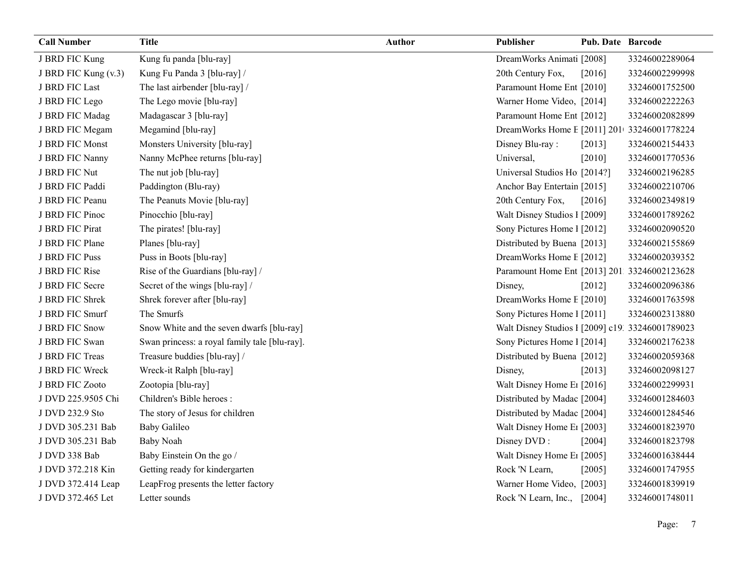| <b>Call Number</b>   | <b>Title</b>                                  | <b>Author</b> | Publisher                                        | <b>Pub. Date Barcode</b> |                |
|----------------------|-----------------------------------------------|---------------|--------------------------------------------------|--------------------------|----------------|
| J BRD FIC Kung       | Kung fu panda [blu-ray]                       |               | DreamWorks Animati [2008]                        |                          | 33246002289064 |
| J BRD FIC Kung (v.3) | Kung Fu Panda 3 [blu-ray] /                   |               | 20th Century Fox,                                | [2016]                   | 33246002299998 |
| J BRD FIC Last       | The last airbender [blu-ray] /                |               | Paramount Home Ent [2010]                        |                          | 33246001752500 |
| J BRD FIC Lego       | The Lego movie [blu-ray]                      |               | Warner Home Video, [2014]                        |                          | 33246002222263 |
| J BRD FIC Madag      | Madagascar 3 [blu-ray]                        |               | Paramount Home Ent [2012]                        |                          | 33246002082899 |
| J BRD FIC Megam      | Megamind [blu-ray]                            |               | DreamWorks Home E [2011] 201 33246001778224      |                          |                |
| J BRD FIC Monst      | Monsters University [blu-ray]                 |               | Disney Blu-ray:                                  | [2013]                   | 33246002154433 |
| J BRD FIC Nanny      | Nanny McPhee returns [blu-ray]                |               | Universal,                                       | [2010]                   | 33246001770536 |
| J BRD FIC Nut        | The nut job [blu-ray]                         |               | Universal Studios Ho [2014?]                     |                          | 33246002196285 |
| J BRD FIC Paddi      | Paddington (Blu-ray)                          |               | Anchor Bay Entertain [2015]                      |                          | 33246002210706 |
| J BRD FIC Peanu      | The Peanuts Movie [blu-ray]                   |               | 20th Century Fox,                                | [2016]                   | 33246002349819 |
| J BRD FIC Pinoc      | Pinocchio [blu-ray]                           |               | Walt Disney Studios 1 [2009]                     |                          | 33246001789262 |
| J BRD FIC Pirat      | The pirates! [blu-ray]                        |               | Sony Pictures Home 1 [2012]                      |                          | 33246002090520 |
| J BRD FIC Plane      | Planes [blu-ray]                              |               | Distributed by Buena [2013]                      |                          | 33246002155869 |
| J BRD FIC Puss       | Puss in Boots [blu-ray]                       |               | DreamWorks Home E [2012]                         |                          | 33246002039352 |
| J BRD FIC Rise       | Rise of the Guardians [blu-ray] /             |               | Paramount Home Ent [2013] 201. 33246002123628    |                          |                |
| J BRD FIC Secre      | Secret of the wings [blu-ray] /               |               | Disney,                                          | [2012]                   | 33246002096386 |
| J BRD FIC Shrek      | Shrek forever after [blu-ray]                 |               | DreamWorks Home E [2010]                         |                          | 33246001763598 |
| J BRD FIC Smurf      | The Smurfs                                    |               | Sony Pictures Home 1 [2011]                      |                          | 33246002313880 |
| J BRD FIC Snow       | Snow White and the seven dwarfs [blu-ray]     |               | Walt Disney Studios 1 [2009] c19. 33246001789023 |                          |                |
| J BRD FIC Swan       | Swan princess: a royal family tale [blu-ray]. |               | Sony Pictures Home 1 [2014]                      |                          | 33246002176238 |
| J BRD FIC Treas      | Treasure buddies [blu-ray] /                  |               | Distributed by Buena [2012]                      |                          | 33246002059368 |
| J BRD FIC Wreck      | Wreck-it Ralph [blu-ray]                      |               | Disney,                                          | [2013]                   | 33246002098127 |
| J BRD FIC Zooto      | Zootopia [blu-ray]                            |               | Walt Disney Home E <sub>1</sub> [2016]           |                          | 33246002299931 |
| J DVD 225.9505 Chi   | Children's Bible heroes :                     |               | Distributed by Madac [2004]                      |                          | 33246001284603 |
| J DVD 232.9 Sto      | The story of Jesus for children               |               | Distributed by Madac [2004]                      |                          | 33246001284546 |
| J DVD 305.231 Bab    | <b>Baby Galileo</b>                           |               | Walt Disney Home E1 [2003]                       |                          | 33246001823970 |
| J DVD 305.231 Bab    | <b>Baby Noah</b>                              |               | Disney DVD:                                      | [2004]                   | 33246001823798 |
| J DVD 338 Bab        | Baby Einstein On the go /                     |               | Walt Disney Home E <sub>1</sub> [2005]           |                          | 33246001638444 |
| J DVD 372.218 Kin    | Getting ready for kindergarten                |               | Rock 'N Learn,                                   | [2005]                   | 33246001747955 |
| J DVD 372.414 Leap   | LeapFrog presents the letter factory          |               | Warner Home Video, [2003]                        |                          | 33246001839919 |
| J DVD 372.465 Let    | Letter sounds                                 |               | Rock 'N Learn, Inc., [2004]                      |                          | 33246001748011 |

Page: 7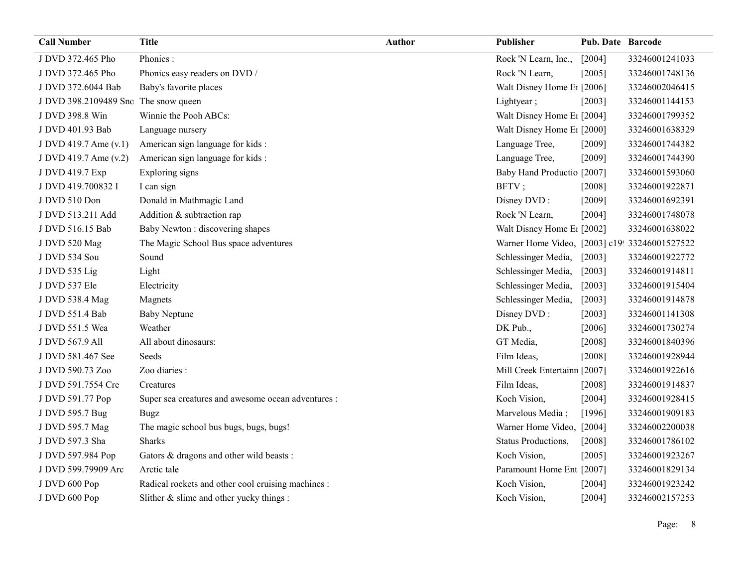| <b>Call Number</b>                   | <b>Title</b>                                       | <b>Author</b> | Publisher                                     | <b>Pub. Date Barcode</b> |                |
|--------------------------------------|----------------------------------------------------|---------------|-----------------------------------------------|--------------------------|----------------|
| J DVD 372.465 Pho                    | Phonics:                                           |               | Rock 'N Learn, Inc.,                          | [2004]                   | 33246001241033 |
| J DVD 372.465 Pho                    | Phonics easy readers on DVD /                      |               | Rock 'N Learn,                                | [2005]                   | 33246001748136 |
| J DVD 372.6044 Bab                   | Baby's favorite places                             |               | Walt Disney Home E <sub>1</sub> [2006]        |                          | 33246002046415 |
| J DVD 398.2109489 Snc The snow queen |                                                    |               | Lightyear;                                    | [2003]                   | 33246001144153 |
| J DVD 398.8 Win                      | Winnie the Pooh ABCs:                              |               | Walt Disney Home E1 [2004]                    |                          | 33246001799352 |
| J DVD 401.93 Bab                     | Language nursery                                   |               | Walt Disney Home E1 [2000]                    |                          | 33246001638329 |
| J DVD 419.7 Ame (v.1)                | American sign language for kids:                   |               | Language Tree,                                | [2009]                   | 33246001744382 |
| J DVD 419.7 Ame (v.2)                | American sign language for kids:                   |               | Language Tree,                                | $[2009]$                 | 33246001744390 |
| J DVD 419.7 Exp                      | Exploring signs                                    |               | Baby Hand Productio [2007]                    |                          | 33246001593060 |
| J DVD 419.700832 I                   | I can sign                                         |               | BFTV;                                         | [2008]                   | 33246001922871 |
| J DVD 510 Don                        | Donald in Mathmagic Land                           |               | Disney DVD:                                   | [2009]                   | 33246001692391 |
| J DVD 513.211 Add                    | Addition & subtraction rap                         |               | Rock 'N Learn,                                | [2004]                   | 33246001748078 |
| J DVD 516.15 Bab                     | Baby Newton : discovering shapes                   |               | Walt Disney Home E1 [2002]                    |                          | 33246001638022 |
| J DVD 520 Mag                        | The Magic School Bus space adventures              |               | Warner Home Video, [2003] c19! 33246001527522 |                          |                |
| J DVD 534 Sou                        | Sound                                              |               | Schlessinger Media,                           | $[2003]$                 | 33246001922772 |
| J DVD 535 Lig                        | Light                                              |               | Schlessinger Media,                           | $[2003]$                 | 33246001914811 |
| J DVD 537 Ele                        | Electricity                                        |               | Schlessinger Media,                           | $[2003]$                 | 33246001915404 |
| J DVD 538.4 Mag                      | Magnets                                            |               | Schlessinger Media,                           | [2003]                   | 33246001914878 |
| J DVD 551.4 Bab                      | <b>Baby Neptune</b>                                |               | Disney DVD:                                   | [2003]                   | 33246001141308 |
| J DVD 551.5 Wea                      | Weather                                            |               | DK Pub.,                                      | [2006]                   | 33246001730274 |
| J DVD 567.9 All                      | All about dinosaurs:                               |               | GT Media,                                     | [2008]                   | 33246001840396 |
| J DVD 581.467 See                    | Seeds                                              |               | Film Ideas,                                   | [2008]                   | 33246001928944 |
| J DVD 590.73 Zoo                     | Zoo diaries :                                      |               | Mill Creek Entertainn [2007]                  |                          | 33246001922616 |
| J DVD 591.7554 Cre                   | Creatures                                          |               | Film Ideas,                                   | [2008]                   | 33246001914837 |
| J DVD 591.77 Pop                     | Super sea creatures and awesome ocean adventures : |               | Koch Vision,                                  | [2004]                   | 33246001928415 |
| J DVD 595.7 Bug                      | <b>Bugz</b>                                        |               | Marvelous Media;                              | [1996]                   | 33246001909183 |
| J DVD 595.7 Mag                      | The magic school bus bugs, bugs, bugs!             |               | Warner Home Video, [2004]                     |                          | 33246002200038 |
| J DVD 597.3 Sha                      | <b>Sharks</b>                                      |               | Status Productions,                           | $[2008]$                 | 33246001786102 |
| J DVD 597.984 Pop                    | Gators & dragons and other wild beasts :           |               | Koch Vision,                                  | $[2005]$                 | 33246001923267 |
| J DVD 599.79909 Arc                  | Arctic tale                                        |               | Paramount Home Ent [2007]                     |                          | 33246001829134 |
| J DVD 600 Pop                        | Radical rockets and other cool cruising machines : |               | Koch Vision,                                  | $[2004]$                 | 33246001923242 |
| J DVD 600 Pop                        | Slither $&$ slime and other yucky things :         |               | Koch Vision,                                  | [2004]                   | 33246002157253 |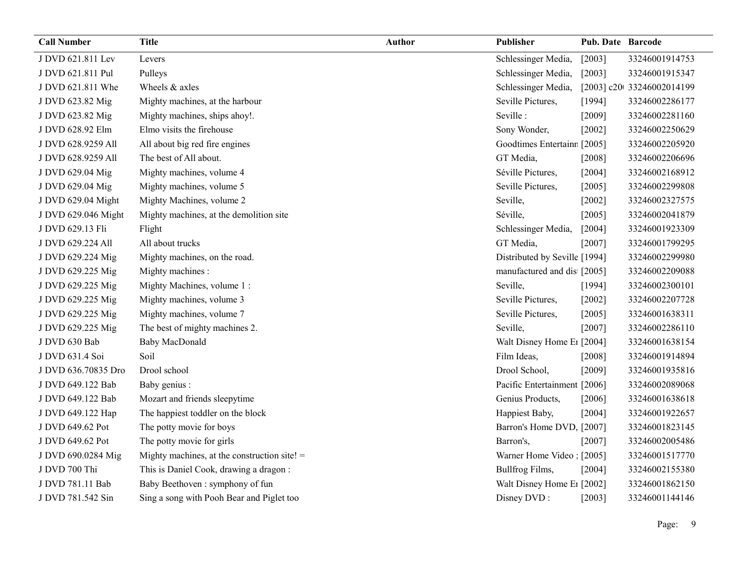| <b>Call Number</b>  | <b>Title</b>                                   | <b>Author</b> | Publisher                     | <b>Pub. Date Barcode</b> |                            |
|---------------------|------------------------------------------------|---------------|-------------------------------|--------------------------|----------------------------|
| J DVD 621.811 Lev   | Levers                                         |               | Schlessinger Media,           | $[2003]$                 | 33246001914753             |
| J DVD 621.811 Pul   | Pulleys                                        |               | Schlessinger Media,           | $[2003]$                 | 33246001915347             |
| J DVD 621.811 Whe   | Wheels & axles                                 |               | Schlessinger Media,           |                          | [2003] c20t 33246002014199 |
| J DVD 623.82 Mig    | Mighty machines, at the harbour                |               | Seville Pictures,             | [1994]                   | 33246002286177             |
| J DVD 623.82 Mig    | Mighty machines, ships ahoy!.                  |               | Seville:                      | [2009]                   | 33246002281160             |
| J DVD 628.92 Elm    | Elmo visits the firehouse                      |               | Sony Wonder,                  | [2002]                   | 33246002250629             |
| J DVD 628.9259 All  | All about big red fire engines                 |               | Goodtimes Entertainr [2005]   |                          | 33246002205920             |
| J DVD 628.9259 All  | The best of All about.                         |               | GT Media,                     | $[2008]$                 | 33246002206696             |
| J DVD 629.04 Mig    | Mighty machines, volume 4                      |               | Séville Pictures,             | [2004]                   | 33246002168912             |
| J DVD 629.04 Mig    | Mighty machines, volume 5                      |               | Seville Pictures,             | [2005]                   | 33246002299808             |
| J DVD 629.04 Might  | Mighty Machines, volume 2                      |               | Seville,                      | $[2002]$                 | 33246002327575             |
| J DVD 629.046 Might | Mighty machines, at the demolition site        |               | Séville,                      | $[2005]$                 | 33246002041879             |
| J DVD 629.13 Fli    | Flight                                         |               | Schlessinger Media,           | $[2004]$                 | 33246001923309             |
| J DVD 629.224 All   | All about trucks                               |               | GT Media,                     | [2007]                   | 33246001799295             |
| J DVD 629.224 Mig   | Mighty machines, on the road.                  |               | Distributed by Seville [1994] |                          | 33246002299980             |
| J DVD 629.225 Mig   | Mighty machines :                              |               | manufactured and dis [2005]   |                          | 33246002209088             |
| J DVD 629.225 Mig   | Mighty Machines, volume 1:                     |               | Seville,                      | [1994]                   | 33246002300101             |
| J DVD 629.225 Mig   | Mighty machines, volume 3                      |               | Seville Pictures,             | $[2002]$                 | 33246002207728             |
| J DVD 629.225 Mig   | Mighty machines, volume 7                      |               | Seville Pictures,             | [2005]                   | 33246001638311             |
| J DVD 629.225 Mig   | The best of mighty machines 2.                 |               | Seville,                      | $[2007]$                 | 33246002286110             |
| J DVD 630 Bab       | Baby MacDonald                                 |               | Walt Disney Home E1 [2004]    |                          | 33246001638154             |
| J DVD 631.4 Soi     | Soil                                           |               | Film Ideas,                   | $[2008]$                 | 33246001914894             |
| J DVD 636.70835 Dro | Drool school                                   |               | Drool School,                 | $[2009]$                 | 33246001935816             |
| J DVD 649.122 Bab   | Baby genius :                                  |               | Pacific Entertainment [2006]  |                          | 33246002089068             |
| J DVD 649.122 Bab   | Mozart and friends sleepytime                  |               | Genius Products,              | $[2006]$                 | 33246001638618             |
| J DVD 649.122 Hap   | The happiest toddler on the block              |               | Happiest Baby,                | [2004]                   | 33246001922657             |
| J DVD 649.62 Pot    | The potty movie for boys                       |               | Barron's Home DVD, [2007]     |                          | 33246001823145             |
| J DVD 649.62 Pot    | The potty movie for girls                      |               | Barron's,                     | [2007]                   | 33246002005486             |
| J DVD 690.0284 Mig  | Mighty machines, at the construction site! $=$ |               | Warner Home Video : [2005]    |                          | 33246001517770             |
| J DVD 700 Thi       | This is Daniel Cook, drawing a dragon:         |               | Bullfrog Films,               | $[2004]$                 | 33246002155380             |
| J DVD 781.11 Bab    | Baby Beethoven : symphony of fun               |               | Walt Disney Home E1 [2002]    |                          | 33246001862150             |
| J DVD 781.542 Sin   | Sing a song with Pooh Bear and Piglet too      |               | Disney DVD:                   | [2003]                   | 33246001144146             |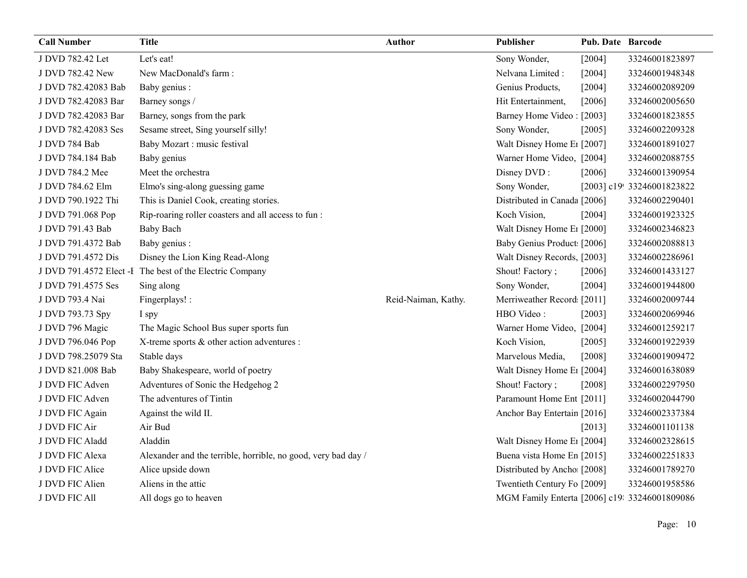| <b>Call Number</b>  | <b>Title</b>                                                  | Author              | Publisher                                     | <b>Pub. Date Barcode</b> |                            |
|---------------------|---------------------------------------------------------------|---------------------|-----------------------------------------------|--------------------------|----------------------------|
| J DVD 782.42 Let    | Let's eat!                                                    |                     | Sony Wonder,                                  | [2004]                   | 33246001823897             |
| J DVD 782.42 New    | New MacDonald's farm:                                         |                     | Nelvana Limited :                             | [2004]                   | 33246001948348             |
| J DVD 782.42083 Bab | Baby genius :                                                 |                     | Genius Products,                              | [2004]                   | 33246002089209             |
| J DVD 782.42083 Bar | Barney songs /                                                |                     | Hit Entertainment,                            | [2006]                   | 33246002005650             |
| J DVD 782.42083 Bar | Barney, songs from the park                                   |                     | Barney Home Video: [2003]                     |                          | 33246001823855             |
| J DVD 782.42083 Ses | Sesame street, Sing yourself silly!                           |                     | Sony Wonder,                                  | [2005]                   | 33246002209328             |
| J DVD 784 Bab       | Baby Mozart : music festival                                  |                     | Walt Disney Home E1 [2007]                    |                          | 33246001891027             |
| J DVD 784.184 Bab   | Baby genius                                                   |                     | Warner Home Video, [2004]                     |                          | 33246002088755             |
| J DVD 784.2 Mee     | Meet the orchestra                                            |                     | Disney DVD:                                   | [2006]                   | 33246001390954             |
| J DVD 784.62 Elm    | Elmo's sing-along guessing game                               |                     | Sony Wonder,                                  |                          | [2003] c19! 33246001823822 |
| J DVD 790.1922 Thi  | This is Daniel Cook, creating stories.                        |                     | Distributed in Canada [2006]                  |                          | 33246002290401             |
| J DVD 791.068 Pop   | Rip-roaring roller coasters and all access to fun:            |                     | Koch Vision,                                  | [2004]                   | 33246001923325             |
| J DVD 791.43 Bab    | <b>Baby Bach</b>                                              |                     | Walt Disney Home E1 [2000]                    |                          | 33246002346823             |
| J DVD 791.4372 Bab  | Baby genius :                                                 |                     | Baby Genius Product [2006]                    |                          | 33246002088813             |
| J DVD 791.4572 Dis  | Disney the Lion King Read-Along                               |                     | Walt Disney Records, [2003]                   |                          | 33246002286961             |
|                     | J DVD 791.4572 Elect -I The best of the Electric Company      |                     | Shout! Factory;                               | [2006]                   | 33246001433127             |
| J DVD 791.4575 Ses  | Sing along                                                    |                     | Sony Wonder,                                  | [2004]                   | 33246001944800             |
| J DVD 793.4 Nai     | Fingerplays! :                                                | Reid-Naiman, Kathy. | Merriweather Record [2011]                    |                          | 33246002009744             |
| J DVD 793.73 Spy    | I spy                                                         |                     | HBO Video:                                    | [2003]                   | 33246002069946             |
| J DVD 796 Magic     | The Magic School Bus super sports fun                         |                     | Warner Home Video, [2004]                     |                          | 33246001259217             |
| J DVD 796.046 Pop   | X-treme sports & other action adventures :                    |                     | Koch Vision,                                  | [2005]                   | 33246001922939             |
| J DVD 798.25079 Sta | Stable days                                                   |                     | Marvelous Media,                              | $[2008]$                 | 33246001909472             |
| J DVD 821.008 Bab   | Baby Shakespeare, world of poetry                             |                     | Walt Disney Home E1 [2004]                    |                          | 33246001638089             |
| J DVD FIC Adven     | Adventures of Sonic the Hedgehog 2                            |                     | Shout! Factory;                               | [2008]                   | 33246002297950             |
| J DVD FIC Adven     | The adventures of Tintin                                      |                     | Paramount Home Ent [2011]                     |                          | 33246002044790             |
| J DVD FIC Again     | Against the wild II.                                          |                     | Anchor Bay Entertain [2016]                   |                          | 33246002337384             |
| J DVD FIC Air       | Air Bud                                                       |                     |                                               | $[2013]$                 | 33246001101138             |
| J DVD FIC Aladd     | Aladdin                                                       |                     | Walt Disney Home E <sub>1</sub> [2004]        |                          | 33246002328615             |
| J DVD FIC Alexa     | Alexander and the terrible, horrible, no good, very bad day / |                     | Buena vista Home En [2015]                    |                          | 33246002251833             |
| J DVD FIC Alice     | Alice upside down                                             |                     | Distributed by Ancho [2008]                   |                          | 33246001789270             |
| J DVD FIC Alien     | Aliens in the attic                                           |                     | Twentieth Century Fo [2009]                   |                          | 33246001958586             |
| J DVD FIC All       | All dogs go to heaven                                         |                     | MGM Family Enterta [2006] c19: 33246001809086 |                          |                            |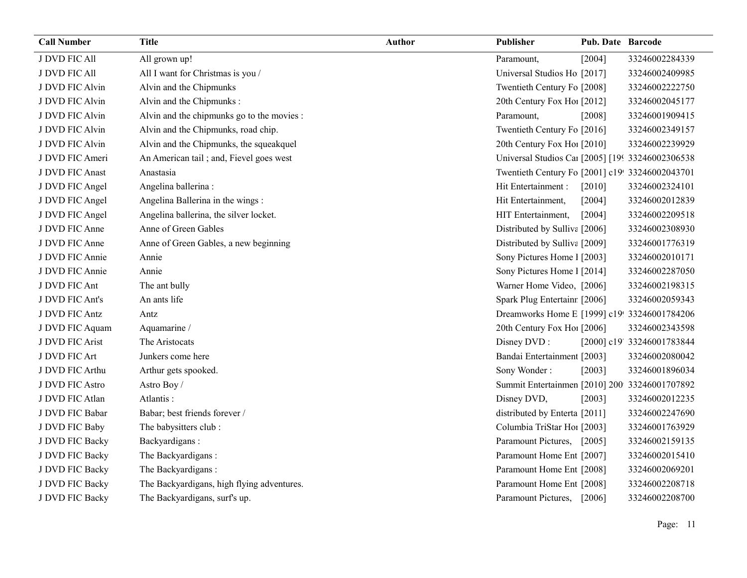| <b>Call Number</b> | <b>Title</b>                               | <b>Author</b> | Publisher                                        | <b>Pub. Date Barcode</b> |                            |
|--------------------|--------------------------------------------|---------------|--------------------------------------------------|--------------------------|----------------------------|
| J DVD FIC All      | All grown up!                              |               | Paramount,                                       | [2004]                   | 33246002284339             |
| J DVD FIC All      | All I want for Christmas is you /          |               | Universal Studios Ho [2017]                      |                          | 33246002409985             |
| J DVD FIC Alvin    | Alvin and the Chipmunks                    |               | Twentieth Century Fo [2008]                      |                          | 33246002222750             |
| J DVD FIC Alvin    | Alvin and the Chipmunks:                   |               | 20th Century Fox Hol [2012]                      |                          | 33246002045177             |
| J DVD FIC Alvin    | Alvin and the chipmunks go to the movies : |               | Paramount,                                       | [2008]                   | 33246001909415             |
| J DVD FIC Alvin    | Alvin and the Chipmunks, road chip.        |               | Twentieth Century Fo [2016]                      |                          | 33246002349157             |
| J DVD FIC Alvin    | Alvin and the Chipmunks, the squeakquel    |               | 20th Century Fox Ho! [2010]                      |                          | 33246002239929             |
| J DVD FIC Ameri    | An American tail; and, Fievel goes west    |               | Universal Studios Car [2005] [199 33246002306538 |                          |                            |
| J DVD FIC Anast    | Anastasia                                  |               | Twentieth Century Fo [2001] c19! 33246002043701  |                          |                            |
| J DVD FIC Angel    | Angelina ballerina :                       |               | Hit Entertainment :                              | $[2010]$                 | 33246002324101             |
| J DVD FIC Angel    | Angelina Ballerina in the wings:           |               | Hit Entertainment,                               | [2004]                   | 33246002012839             |
| J DVD FIC Angel    | Angelina ballerina, the silver locket.     |               | HIT Entertainment,                               | [2004]                   | 33246002209518             |
| J DVD FIC Anne     | Anne of Green Gables                       |               | Distributed by Sulliva [2006]                    |                          | 33246002308930             |
| J DVD FIC Anne     | Anne of Green Gables, a new beginning      |               | Distributed by Sulliva [2009]                    |                          | 33246001776319             |
| J DVD FIC Annie    | Annie                                      |               | Sony Pictures Home 1 [2003]                      |                          | 33246002010171             |
| J DVD FIC Annie    | Annie                                      |               | Sony Pictures Home 1 [2014]                      |                          | 33246002287050             |
| J DVD FIC Ant      | The ant bully                              |               | Warner Home Video, [2006]                        |                          | 33246002198315             |
| J DVD FIC Ant's    | An ants life                               |               | Spark Plug Entertainr [2006]                     |                          | 33246002059343             |
| J DVD FIC Antz     | Antz                                       |               | Dreamworks Home E [1999] c19! 33246001784206     |                          |                            |
| J DVD FIC Aquam    | Aquamarine /                               |               | 20th Century Fox Ho! [2006]                      |                          | 33246002343598             |
| J DVD FIC Arist    | The Aristocats                             |               | Disney DVD:                                      |                          | [2000] c19' 33246001783844 |
| J DVD FIC Art      | Junkers come here                          |               | Bandai Entertainment [2003]                      |                          | 33246002080042             |
| J DVD FIC Arthu    | Arthur gets spooked.                       |               | Sony Wonder:                                     | [2003]                   | 33246001896034             |
| J DVD FIC Astro    | Astro Boy/                                 |               | Summit Entertainmen [2010] 200 33246001707892    |                          |                            |
| J DVD FIC Atlan    | Atlantis:                                  |               | Disney DVD,                                      | [2003]                   | 33246002012235             |
| J DVD FIC Babar    | Babar; best friends forever /              |               | distributed by Enterta [2011]                    |                          | 33246002247690             |
| J DVD FIC Baby     | The babysitters club:                      |               | Columbia TriStar Hoi [2003]                      |                          | 33246001763929             |
| J DVD FIC Backy    | Backyardigans:                             |               | Paramount Pictures, [2005]                       |                          | 33246002159135             |
| J DVD FIC Backy    | The Backyardigans:                         |               | Paramount Home Ent [2007]                        |                          | 33246002015410             |
| J DVD FIC Backy    | The Backyardigans:                         |               | Paramount Home Ent [2008]                        |                          | 33246002069201             |
| J DVD FIC Backy    | The Backyardigans, high flying adventures. |               | Paramount Home Ent [2008]                        |                          | 33246002208718             |
| J DVD FIC Backy    | The Backyardigans, surf's up.              |               | Paramount Pictures, [2006]                       |                          | 33246002208700             |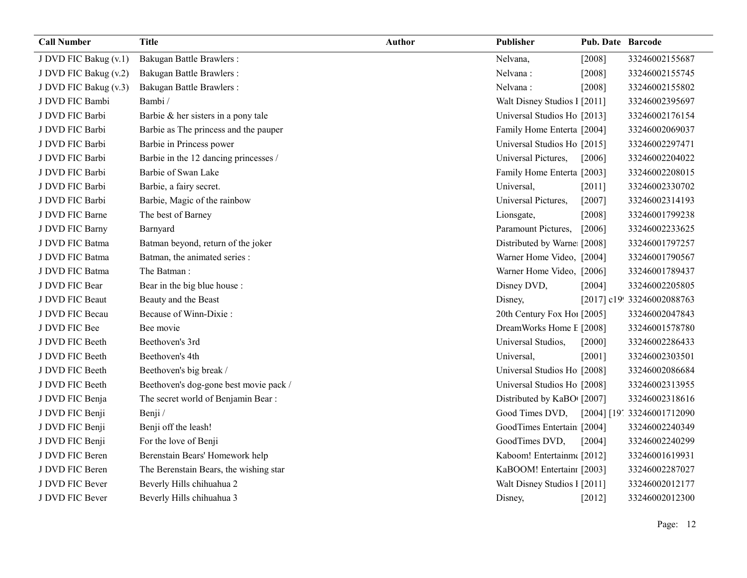| <b>Call Number</b>    | <b>Title</b>                           | <b>Author</b> | Publisher                    | <b>Pub. Date Barcode</b> |                            |
|-----------------------|----------------------------------------|---------------|------------------------------|--------------------------|----------------------------|
| J DVD FIC Bakug (v.1) | <b>Bakugan Battle Brawlers:</b>        |               | Nelvana,                     | [2008]                   | 33246002155687             |
| J DVD FIC Bakug (v.2) | <b>Bakugan Battle Brawlers:</b>        |               | Nelvana:                     | [2008]                   | 33246002155745             |
| J DVD FIC Bakug (v.3) | <b>Bakugan Battle Brawlers:</b>        |               | Nelvana:                     | [2008]                   | 33246002155802             |
| J DVD FIC Bambi       | Bambi/                                 |               | Walt Disney Studios 1 [2011] |                          | 33246002395697             |
| J DVD FIC Barbi       | Barbie & her sisters in a pony tale    |               | Universal Studios Ho [2013]  |                          | 33246002176154             |
| J DVD FIC Barbi       | Barbie as The princess and the pauper  |               | Family Home Enterta [2004]   |                          | 33246002069037             |
| J DVD FIC Barbi       | Barbie in Princess power               |               | Universal Studios Ho [2015]  |                          | 33246002297471             |
| J DVD FIC Barbi       | Barbie in the 12 dancing princesses /  |               | Universal Pictures,          | [2006]                   | 33246002204022             |
| J DVD FIC Barbi       | Barbie of Swan Lake                    |               | Family Home Enterta [2003]   |                          | 33246002208015             |
| J DVD FIC Barbi       | Barbie, a fairy secret.                |               | Universal,                   | [2011]                   | 33246002330702             |
| J DVD FIC Barbi       | Barbie, Magic of the rainbow           |               | Universal Pictures,          | [2007]                   | 33246002314193             |
| J DVD FIC Barne       | The best of Barney                     |               | Lionsgate,                   | [2008]                   | 33246001799238             |
| J DVD FIC Barny       | Barnyard                               |               | Paramount Pictures,          | $[2006]$                 | 33246002233625             |
| J DVD FIC Batma       | Batman beyond, return of the joker     |               | Distributed by Warne [2008]  |                          | 33246001797257             |
| J DVD FIC Batma       | Batman, the animated series :          |               | Warner Home Video, [2004]    |                          | 33246001790567             |
| J DVD FIC Batma       | The Batman:                            |               | Warner Home Video, [2006]    |                          | 33246001789437             |
| J DVD FIC Bear        | Bear in the big blue house :           |               | Disney DVD,                  | [2004]                   | 33246002205805             |
| J DVD FIC Beaut       | Beauty and the Beast                   |               | Disney,                      |                          | [2017] c19! 33246002088763 |
| J DVD FIC Becau       | Because of Winn-Dixie:                 |               | 20th Century Fox Ho! [2005]  |                          | 33246002047843             |
| J DVD FIC Bee         | Bee movie                              |               | DreamWorks Home E [2008]     |                          | 33246001578780             |
| J DVD FIC Beeth       | Beethoven's 3rd                        |               | Universal Studios,           | $[2000]$                 | 33246002286433             |
| J DVD FIC Beeth       | Beethoven's 4th                        |               | Universal,                   | [2001]                   | 33246002303501             |
| J DVD FIC Beeth       | Beethoven's big break /                |               | Universal Studios Ho [2008]  |                          | 33246002086684             |
| J DVD FIC Beeth       | Beethoven's dog-gone best movie pack / |               | Universal Studios Ho [2008]  |                          | 33246002313955             |
| J DVD FIC Benja       | The secret world of Benjamin Bear:     |               | Distributed by KaBO [2007]   |                          | 33246002318616             |
| J DVD FIC Benji       | Benji /                                |               | Good Times DVD,              |                          | [2004] [19] 33246001712090 |
| J DVD FIC Benji       | Benji off the leash!                   |               | GoodTimes Entertain [2004]   |                          | 33246002240349             |
| J DVD FIC Benji       | For the love of Benji                  |               | GoodTimes DVD,               | [2004]                   | 33246002240299             |
| J DVD FIC Beren       | Berenstain Bears' Homework help        |               | Kaboom! Entertainm([2012]    |                          | 33246001619931             |
| J DVD FIC Beren       | The Berenstain Bears, the wishing star |               | KaBOOM! Entertainı [2003]    |                          | 33246002287027             |
| J DVD FIC Bever       | Beverly Hills chihuahua 2              |               | Walt Disney Studios 1 [2011] |                          | 33246002012177             |
| J DVD FIC Bever       | Beverly Hills chihuahua 3              |               | Disney,                      | $[2012]$                 | 33246002012300             |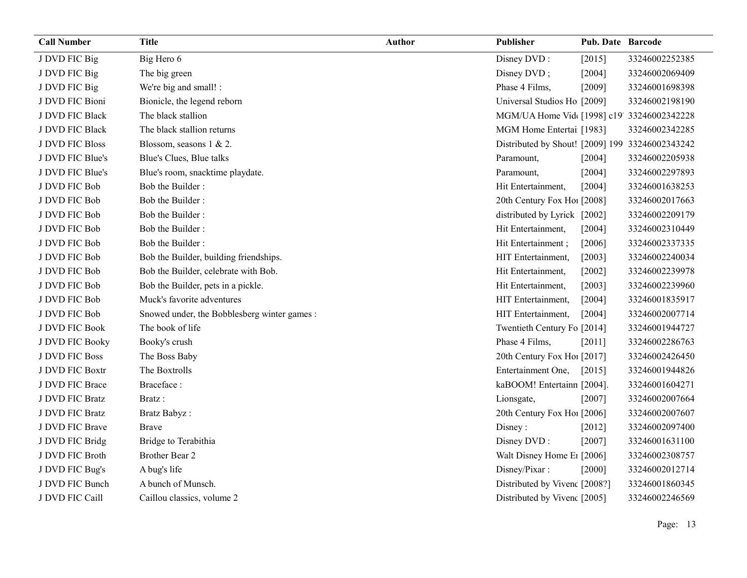| <b>Call Number</b>     | <b>Title</b>                                 | Author | Publisher                                       | Pub. Date Barcode |                |
|------------------------|----------------------------------------------|--------|-------------------------------------------------|-------------------|----------------|
| J DVD FIC Big          | Big Hero 6                                   |        | Disney DVD:                                     | [2015]            | 33246002252385 |
| J DVD FIC Big          | The big green                                |        | Disney DVD;                                     | [2004]            | 33246002069409 |
| J DVD FIC Big          | We're big and small! :                       |        | Phase 4 Films,                                  | [2009]            | 33246001698398 |
| J DVD FIC Bioni        | Bionicle, the legend reborn                  |        | Universal Studios Ho [2009]                     |                   | 33246002198190 |
| J DVD FIC Black        | The black stallion                           |        | MGM/UA Home Vid [1998] c19' 33246002342228      |                   |                |
| J DVD FIC Black        | The black stallion returns                   |        | MGM Home Entertai [1983]                        |                   | 33246002342285 |
| <b>J DVD FIC Bloss</b> | Blossom, seasons 1 & 2.                      |        | Distributed by Shout! [2009] 199 33246002343242 |                   |                |
| J DVD FIC Blue's       | Blue's Clues, Blue talks                     |        | Paramount,                                      | [2004]            | 33246002205938 |
| J DVD FIC Blue's       | Blue's room, snacktime playdate.             |        | Paramount,                                      | [2004]            | 33246002297893 |
| J DVD FIC Bob          | Bob the Builder:                             |        | Hit Entertainment,                              | [2004]            | 33246001638253 |
| J DVD FIC Bob          | Bob the Builder:                             |        | 20th Century Fox Ho! [2008]                     |                   | 33246002017663 |
| J DVD FIC Bob          | Bob the Builder:                             |        | distributed by Lyrick [2002]                    |                   | 33246002209179 |
| J DVD FIC Bob          | Bob the Builder:                             |        | Hit Entertainment,                              | [2004]            | 33246002310449 |
| J DVD FIC Bob          | Bob the Builder:                             |        | Hit Entertainment;                              | [2006]            | 33246002337335 |
| J DVD FIC Bob          | Bob the Builder, building friendships.       |        | HIT Entertainment,                              | [2003]            | 33246002240034 |
| J DVD FIC Bob          | Bob the Builder, celebrate with Bob.         |        | Hit Entertainment,                              | $[2002]$          | 33246002239978 |
| J DVD FIC Bob          | Bob the Builder, pets in a pickle.           |        | Hit Entertainment,                              | [2003]            | 33246002239960 |
| J DVD FIC Bob          | Muck's favorite adventures                   |        | HIT Entertainment,                              | [2004]            | 33246001835917 |
| J DVD FIC Bob          | Snowed under, the Bobblesberg winter games : |        | HIT Entertainment,                              | [2004]            | 33246002007714 |
| J DVD FIC Book         | The book of life                             |        | Twentieth Century Fo [2014]                     |                   | 33246001944727 |
| J DVD FIC Booky        | Booky's crush                                |        | Phase 4 Films,                                  | [2011]            | 33246002286763 |
| J DVD FIC Boss         | The Boss Baby                                |        | 20th Century Fox Ho! [2017]                     |                   | 33246002426450 |
| J DVD FIC Boxtr        | The Boxtrolls                                |        | Entertainment One,                              | $[2015]$          | 33246001944826 |
| J DVD FIC Brace        | Braceface:                                   |        | kaBOOM! Entertainn [2004].                      |                   | 33246001604271 |
| J DVD FIC Bratz        | Bratz:                                       |        | Lionsgate,                                      | [2007]            | 33246002007664 |
| J DVD FIC Bratz        | Bratz Babyz:                                 |        | 20th Century Fox Ho! [2006]                     |                   | 33246002007607 |
| J DVD FIC Brave        | <b>Brave</b>                                 |        | Disney:                                         | $[2012]$          | 33246002097400 |
| J DVD FIC Bridg        | Bridge to Terabithia                         |        | Disney DVD:                                     | $[2007]$          | 33246001631100 |
| J DVD FIC Broth        | Brother Bear 2                               |        | Walt Disney Home E1 [2006]                      |                   | 33246002308757 |
| J DVD FIC Bug's        | A bug's life                                 |        | Disney/Pixar:                                   | $[2000]$          | 33246002012714 |
| J DVD FIC Bunch        | A bunch of Munsch.                           |        | Distributed by Vivenc [2008?]                   |                   | 33246001860345 |
| J DVD FIC Caill        | Caillou classics, volume 2                   |        | Distributed by Vivenc [2005]                    |                   | 33246002246569 |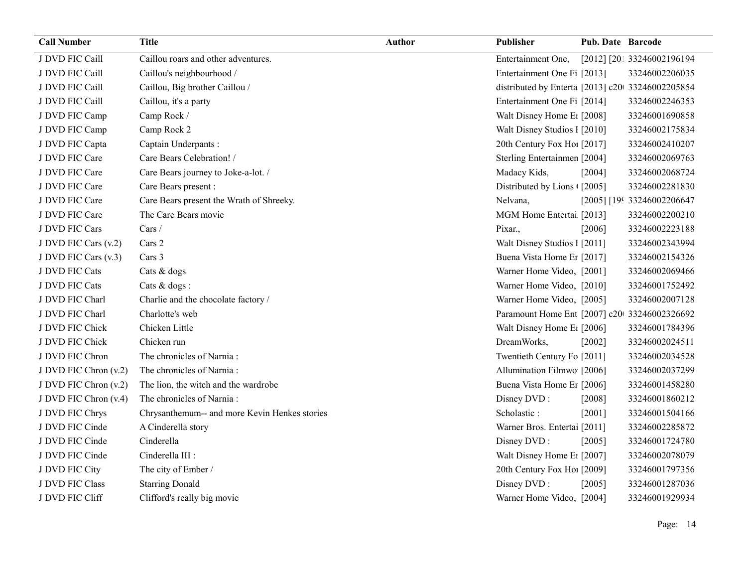| <b>Call Number</b>    | <b>Title</b>                                  | <b>Author</b> | Publisher                                        | <b>Pub. Date Barcode</b> |                            |
|-----------------------|-----------------------------------------------|---------------|--------------------------------------------------|--------------------------|----------------------------|
| J DVD FIC Caill       | Caillou roars and other adventures.           |               | Entertainment One,                               |                          | [2012] [201 33246002196194 |
| J DVD FIC Caill       | Caillou's neighbourhood /                     |               | Entertainment One Fi [2013]                      |                          | 33246002206035             |
| J DVD FIC Caill       | Caillou, Big brother Caillou /                |               | distributed by Enterta [2013] c20 33246002205854 |                          |                            |
| J DVD FIC Caill       | Caillou, it's a party                         |               | Entertainment One Fi [2014]                      |                          | 33246002246353             |
| J DVD FIC Camp        | Camp Rock /                                   |               | Walt Disney Home E1 [2008]                       |                          | 33246001690858             |
| J DVD FIC Camp        | Camp Rock 2                                   |               | Walt Disney Studios 1 [2010]                     |                          | 33246002175834             |
| J DVD FIC Capta       | Captain Underpants:                           |               | 20th Century Fox Ho! [2017]                      |                          | 33246002410207             |
| J DVD FIC Care        | Care Bears Celebration! /                     |               | Sterling Entertainmen [2004]                     |                          | 33246002069763             |
| J DVD FIC Care        | Care Bears journey to Joke-a-lot. /           |               | Madacy Kids,                                     | [2004]                   | 33246002068724             |
| J DVD FIC Care        | Care Bears present :                          |               | Distributed by Lions ([2005]                     |                          | 33246002281830             |
| J DVD FIC Care        | Care Bears present the Wrath of Shreeky.      |               | Nelvana,                                         |                          | [2005] [199 33246002206647 |
| J DVD FIC Care        | The Care Bears movie                          |               | MGM Home Entertai [2013]                         |                          | 33246002200210             |
| J DVD FIC Cars        | Cars /                                        |               | Pixar.,                                          | [2006]                   | 33246002223188             |
| J DVD FIC Cars (v.2)  | Cars 2                                        |               | Walt Disney Studios 1 [2011]                     |                          | 33246002343994             |
| J DVD FIC Cars (v.3)  | Cars 3                                        |               | Buena Vista Home Er [2017]                       |                          | 33246002154326             |
| J DVD FIC Cats        | Cats & dogs                                   |               | Warner Home Video, [2001]                        |                          | 33246002069466             |
| J DVD FIC Cats        | Cats & dogs :                                 |               | Warner Home Video, [2010]                        |                          | 33246001752492             |
| J DVD FIC Charl       | Charlie and the chocolate factory /           |               | Warner Home Video, [2005]                        |                          | 33246002007128             |
| J DVD FIC Charl       | Charlotte's web                               |               | Paramount Home Ent [2007] c20 33246002326692     |                          |                            |
| J DVD FIC Chick       | Chicken Little                                |               | Walt Disney Home E1 [2006]                       |                          | 33246001784396             |
| J DVD FIC Chick       | Chicken run                                   |               | DreamWorks,                                      | [2002]                   | 33246002024511             |
| J DVD FIC Chron       | The chronicles of Narnia:                     |               | Twentieth Century Fo [2011]                      |                          | 33246002034528             |
| J DVD FIC Chron (v.2) | The chronicles of Narnia:                     |               | Allumination Filmwo [2006]                       |                          | 33246002037299             |
| J DVD FIC Chron (v.2) | The lion, the witch and the wardrobe          |               | Buena Vista Home Er [2006]                       |                          | 33246001458280             |
| J DVD FIC Chron (v.4) | The chronicles of Narnia:                     |               | Disney DVD:                                      | [2008]                   | 33246001860212             |
| J DVD FIC Chrys       | Chrysanthemum-- and more Kevin Henkes stories |               | Scholastic:                                      | [2001]                   | 33246001504166             |
| J DVD FIC Cinde       | A Cinderella story                            |               | Warner Bros. Entertai [2011]                     |                          | 33246002285872             |
| J DVD FIC Cinde       | Cinderella                                    |               | Disney DVD:                                      | [2005]                   | 33246001724780             |
| J DVD FIC Cinde       | Cinderella III :                              |               | Walt Disney Home E1 [2007]                       |                          | 33246002078079             |
| J DVD FIC City        | The city of Ember /                           |               | 20th Century Fox Ho! [2009]                      |                          | 33246001797356             |
| J DVD FIC Class       | <b>Starring Donald</b>                        |               | Disney DVD:                                      | [2005]                   | 33246001287036             |
| J DVD FIC Cliff       | Clifford's really big movie                   |               | Warner Home Video, [2004]                        |                          | 33246001929934             |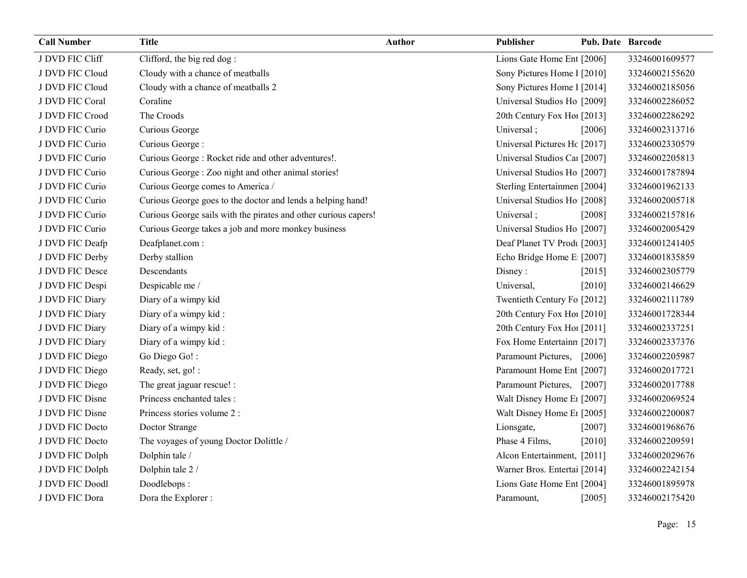| <b>Call Number</b> | <b>Title</b>                                                    | <b>Author</b> | Publisher                    | <b>Pub. Date Barcode</b> |                |
|--------------------|-----------------------------------------------------------------|---------------|------------------------------|--------------------------|----------------|
| J DVD FIC Cliff    | Clifford, the big red dog:                                      |               | Lions Gate Home Ent [2006]   |                          | 33246001609577 |
| J DVD FIC Cloud    | Cloudy with a chance of meatballs                               |               | Sony Pictures Home 1 [2010]  |                          | 33246002155620 |
| J DVD FIC Cloud    | Cloudy with a chance of meatballs 2                             |               | Sony Pictures Home 1 [2014]  |                          | 33246002185056 |
| J DVD FIC Coral    | Coraline                                                        |               | Universal Studios Ho [2009]  |                          | 33246002286052 |
| J DVD FIC Crood    | The Croods                                                      |               | 20th Century Fox Ho! [2013]  |                          | 33246002286292 |
| J DVD FIC Curio    | Curious George                                                  |               | Universal;                   | [2006]                   | 33246002313716 |
| J DVD FIC Curio    | Curious George:                                                 |               | Universal Pictures Hc [2017] |                          | 33246002330579 |
| J DVD FIC Curio    | Curious George: Rocket ride and other adventures!.              |               | Universal Studios Car [2007] |                          | 33246002205813 |
| J DVD FIC Curio    | Curious George : Zoo night and other animal stories!            |               | Universal Studios Ho [2007]  |                          | 33246001787894 |
| J DVD FIC Curio    | Curious George comes to America /                               |               | Sterling Entertainmen [2004] |                          | 33246001962133 |
| J DVD FIC Curio    | Curious George goes to the doctor and lends a helping hand!     |               | Universal Studios Ho [2008]  |                          | 33246002005718 |
| J DVD FIC Curio    | Curious George sails with the pirates and other curious capers! |               | Universal;                   | [2008]                   | 33246002157816 |
| J DVD FIC Curio    | Curious George takes a job and more monkey business             |               | Universal Studios Ho [2007]  |                          | 33246002005429 |
| J DVD FIC Deafp    | Deafplanet.com:                                                 |               | Deaf Planet TV Prodt [2003]  |                          | 33246001241405 |
| J DVD FIC Derby    | Derby stallion                                                  |               | Echo Bridge Home E [2007]    |                          | 33246001835859 |
| J DVD FIC Desce    | Descendants                                                     |               | Disney:                      | [2015]                   | 33246002305779 |
| J DVD FIC Despi    | Despicable me /                                                 |               | Universal,                   | [2010]                   | 33246002146629 |
| J DVD FIC Diary    | Diary of a wimpy kid                                            |               | Twentieth Century Fo [2012]  |                          | 33246002111789 |
| J DVD FIC Diary    | Diary of a wimpy kid:                                           |               | 20th Century Fox Hol [2010]  |                          | 33246001728344 |
| J DVD FIC Diary    | Diary of a wimpy kid:                                           |               | 20th Century Fox Hol [2011]  |                          | 33246002337251 |
| J DVD FIC Diary    | Diary of a wimpy kid:                                           |               | Fox Home Entertainn [2017]   |                          | 33246002337376 |
| J DVD FIC Diego    | Go Diego Go!:                                                   |               | Paramount Pictures, [2006]   |                          | 33246002205987 |
| J DVD FIC Diego    | Ready, set, go! :                                               |               | Paramount Home Ent [2007]    |                          | 33246002017721 |
| J DVD FIC Diego    | The great jaguar rescue! :                                      |               | Paramount Pictures, [2007]   |                          | 33246002017788 |
| J DVD FIC Disne    | Princess enchanted tales :                                      |               | Walt Disney Home E1 [2007]   |                          | 33246002069524 |
| J DVD FIC Disne    | Princess stories volume 2 :                                     |               | Walt Disney Home E1 [2005]   |                          | 33246002200087 |
| J DVD FIC Docto    | Doctor Strange                                                  |               | Lionsgate,                   | $[2007]$                 | 33246001968676 |
| J DVD FIC Docto    | The voyages of young Doctor Dolittle /                          |               | Phase 4 Films,               | $[2010]$                 | 33246002209591 |
| J DVD FIC Dolph    | Dolphin tale /                                                  |               | Alcon Entertainment, [2011]  |                          | 33246002029676 |
| J DVD FIC Dolph    | Dolphin tale 2 /                                                |               | Warner Bros. Entertai [2014] |                          | 33246002242154 |
| J DVD FIC Doodl    | Doodlebops:                                                     |               | Lions Gate Home Ent [2004]   |                          | 33246001895978 |
| J DVD FIC Dora     | Dora the Explorer :                                             |               | Paramount,                   | [2005]                   | 33246002175420 |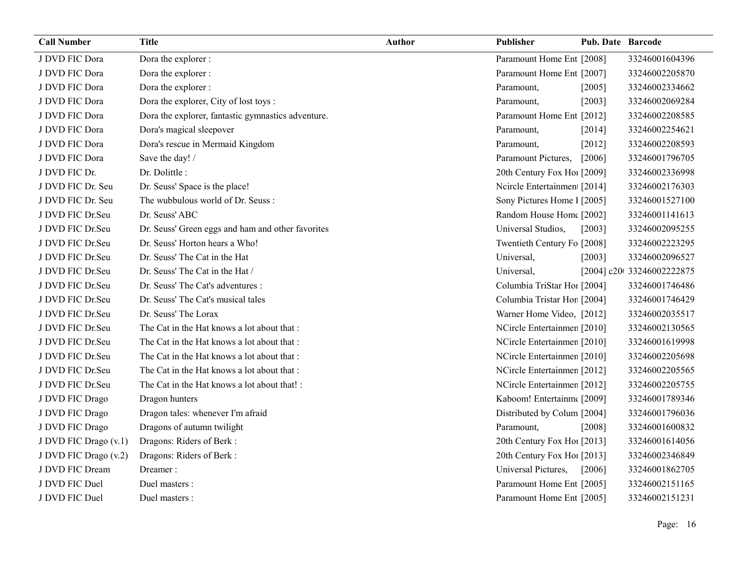| <b>Call Number</b>    | <b>Title</b>                                       | <b>Author</b> | <b>Publisher</b>            | <b>Pub. Date Barcode</b> |                            |
|-----------------------|----------------------------------------------------|---------------|-----------------------------|--------------------------|----------------------------|
| J DVD FIC Dora        | Dora the explorer :                                |               | Paramount Home Ent [2008]   |                          | 33246001604396             |
| J DVD FIC Dora        | Dora the explorer :                                |               | Paramount Home Ent [2007]   |                          | 33246002205870             |
| J DVD FIC Dora        | Dora the explorer :                                |               | Paramount,                  | [2005]                   | 33246002334662             |
| J DVD FIC Dora        | Dora the explorer, City of lost toys :             |               | Paramount,                  | [2003]                   | 33246002069284             |
| J DVD FIC Dora        | Dora the explorer, fantastic gymnastics adventure. |               | Paramount Home Ent [2012]   |                          | 33246002208585             |
| J DVD FIC Dora        | Dora's magical sleepover                           |               | Paramount,                  | [2014]                   | 33246002254621             |
| J DVD FIC Dora        | Dora's rescue in Mermaid Kingdom                   |               | Paramount,                  | $[2012]$                 | 33246002208593             |
| J DVD FIC Dora        | Save the day! /                                    |               | Paramount Pictures,         | [2006]                   | 33246001796705             |
| J DVD FIC Dr.         | Dr. Dolittle:                                      |               | 20th Century Fox Ho! [2009] |                          | 33246002336998             |
| J DVD FIC Dr. Seu     | Dr. Seuss' Space is the place!                     |               | Neirele Entertainmen [2014] |                          | 33246002176303             |
| J DVD FIC Dr. Seu     | The wubbulous world of Dr. Seuss:                  |               | Sony Pictures Home 1 [2005] |                          | 33246001527100             |
| J DVD FIC Dr.Seu      | Dr. Seuss' ABC                                     |               | Random House Home [2002]    |                          | 33246001141613             |
| J DVD FIC Dr.Seu      | Dr. Seuss' Green eggs and ham and other favorites  |               | Universal Studios,          | $[2003]$                 | 33246002095255             |
| J DVD FIC Dr.Seu      | Dr. Seuss' Horton hears a Who!                     |               | Twentieth Century Fo [2008] |                          | 33246002223295             |
| J DVD FIC Dr.Seu      | Dr. Seuss' The Cat in the Hat                      |               | Universal,                  | [2003]                   | 33246002096527             |
| J DVD FIC Dr.Seu      | Dr. Seuss' The Cat in the Hat /                    |               | Universal,                  |                          | [2004] c20t 33246002222875 |
| J DVD FIC Dr.Seu      | Dr. Seuss' The Cat's adventures :                  |               | Columbia TriStar Hoi [2004] |                          | 33246001746486             |
| J DVD FIC Dr.Seu      | Dr. Seuss' The Cat's musical tales                 |               | Columbia Tristar Hor [2004] |                          | 33246001746429             |
| J DVD FIC Dr.Seu      | Dr. Seuss' The Lorax                               |               | Warner Home Video, [2012]   |                          | 33246002035517             |
| J DVD FIC Dr.Seu      | The Cat in the Hat knows a lot about that :        |               | NCircle Entertainmen [2010] |                          | 33246002130565             |
| J DVD FIC Dr.Seu      | The Cat in the Hat knows a lot about that :        |               | NCircle Entertainmen [2010] |                          | 33246001619998             |
| J DVD FIC Dr.Seu      | The Cat in the Hat knows a lot about that :        |               | NCircle Entertainmen [2010] |                          | 33246002205698             |
| J DVD FIC Dr.Seu      | The Cat in the Hat knows a lot about that :        |               | NCircle Entertainmer [2012] |                          | 33246002205565             |
| J DVD FIC Dr.Seu      | The Cat in the Hat knows a lot about that! :       |               | NCircle Entertainmen [2012] |                          | 33246002205755             |
| J DVD FIC Drago       | Dragon hunters                                     |               | Kaboom! Entertainm([2009]   |                          | 33246001789346             |
| J DVD FIC Drago       | Dragon tales: whenever I'm afraid                  |               | Distributed by Colum [2004] |                          | 33246001796036             |
| J DVD FIC Drago       | Dragons of autumn twilight                         |               | Paramount,                  | [2008]                   | 33246001600832             |
| J DVD FIC Drago (v.1) | Dragons: Riders of Berk:                           |               | 20th Century Fox Ho! [2013] |                          | 33246001614056             |
| J DVD FIC Drago (v.2) | Dragons: Riders of Berk:                           |               | 20th Century Fox Ho! [2013] |                          | 33246002346849             |
| J DVD FIC Dream       | Dreamer:                                           |               | Universal Pictures,         | [2006]                   | 33246001862705             |
| J DVD FIC Duel        | Duel masters :                                     |               | Paramount Home Ent [2005]   |                          | 33246002151165             |
| J DVD FIC Duel        | Duel masters :                                     |               | Paramount Home Ent [2005]   |                          | 33246002151231             |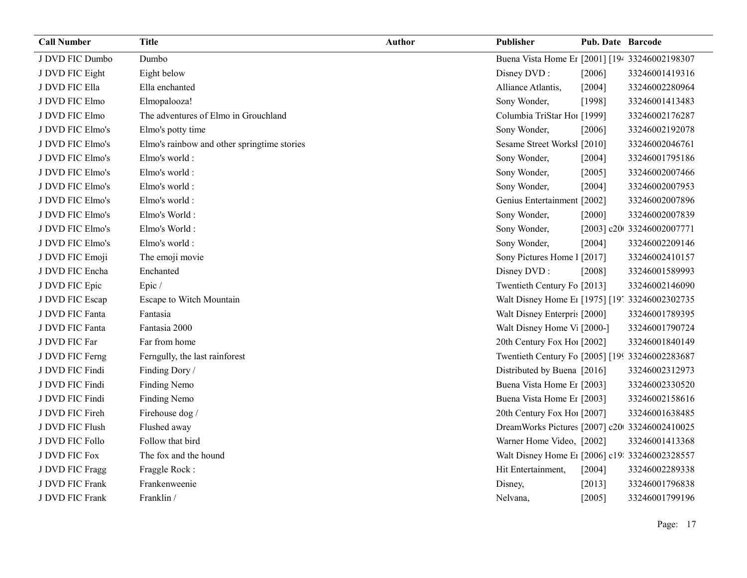| <b>Call Number</b> | <b>Title</b>                                | <b>Author</b> | Publisher                                                  | <b>Pub. Date Barcode</b> |                            |
|--------------------|---------------------------------------------|---------------|------------------------------------------------------------|--------------------------|----------------------------|
| J DVD FIC Dumbo    | Dumbo                                       |               | Buena Vista Home Er [2001] [194 33246002198307             |                          |                            |
| J DVD FIC Eight    | Eight below                                 |               | Disney DVD:                                                | [2006]                   | 33246001419316             |
| J DVD FIC Ella     | Ella enchanted                              |               | Alliance Atlantis,                                         | [2004]                   | 33246002280964             |
| J DVD FIC Elmo     | Elmopalooza!                                |               | Sony Wonder,                                               | [1998]                   | 33246001413483             |
| J DVD FIC Elmo     | The adventures of Elmo in Grouchland        |               | Columbia TriStar Hoi [1999]                                |                          | 33246002176287             |
| J DVD FIC Elmo's   | Elmo's potty time                           |               | Sony Wonder,                                               | [2006]                   | 33246002192078             |
| J DVD FIC Elmo's   | Elmo's rainbow and other springtime stories |               | Sesame Street Worksl [2010]                                |                          | 33246002046761             |
| J DVD FIC Elmo's   | Elmo's world:                               |               | Sony Wonder,                                               | [2004]                   | 33246001795186             |
| J DVD FIC Elmo's   | Elmo's world:                               |               | Sony Wonder,                                               | $[2005]$                 | 33246002007466             |
| J DVD FIC Elmo's   | Elmo's world:                               |               | Sony Wonder,                                               | [2004]                   | 33246002007953             |
| J DVD FIC Elmo's   | Elmo's world:                               |               | Genius Entertainment [2002]                                |                          | 33246002007896             |
| J DVD FIC Elmo's   | Elmo's World:                               |               | Sony Wonder,                                               | $[2000]$                 | 33246002007839             |
| J DVD FIC Elmo's   | Elmo's World:                               |               | Sony Wonder,                                               |                          | [2003] c20t 33246002007771 |
| J DVD FIC Elmo's   | Elmo's world:                               |               | Sony Wonder,                                               | [2004]                   | 33246002209146             |
| J DVD FIC Emoji    | The emoji movie                             |               | Sony Pictures Home 1 [2017]                                |                          | 33246002410157             |
| J DVD FIC Encha    | Enchanted                                   |               | Disney DVD:                                                | [2008]                   | 33246001589993             |
| J DVD FIC Epic     | Epic/                                       |               | Twentieth Century Fo [2013]                                |                          | 33246002146090             |
| J DVD FIC Escap    | Escape to Witch Mountain                    |               | Walt Disney Home E <sub>1</sub> [1975] [19] 33246002302735 |                          |                            |
| J DVD FIC Fanta    | Fantasia                                    |               | Walt Disney Enterpris [2000]                               |                          | 33246001789395             |
| J DVD FIC Fanta    | Fantasia 2000                               |               | Walt Disney Home V <sub>1</sub> [2000-]                    |                          | 33246001790724             |
| J DVD FIC Far      | Far from home                               |               | 20th Century Fox Ho! [2002]                                |                          | 33246001840149             |
| J DVD FIC Ferng    | Ferngully, the last rainforest              |               | Twentieth Century Fo [2005] [199 33246002283687            |                          |                            |
| J DVD FIC Findi    | Finding Dory /                              |               | Distributed by Buena [2016]                                |                          | 33246002312973             |
| J DVD FIC Findi    | Finding Nemo                                |               | Buena Vista Home Er [2003]                                 |                          | 33246002330520             |
| J DVD FIC Findi    | Finding Nemo                                |               | Buena Vista Home Er [2003]                                 |                          | 33246002158616             |
| J DVD FIC Fireh    | Firehouse dog /                             |               | 20th Century Fox Hol [2007]                                |                          | 33246001638485             |
| J DVD FIC Flush    | Flushed away                                |               | DreamWorks Pictures [2007] c20 33246002410025              |                          |                            |
| J DVD FIC Follo    | Follow that bird                            |               | Warner Home Video, [2002]                                  |                          | 33246001413368             |
| J DVD FIC Fox      | The fox and the hound                       |               | Walt Disney Home E1 [2006] c19: 33246002328557             |                          |                            |
| J DVD FIC Fragg    | Fraggle Rock:                               |               | Hit Entertainment,                                         | [2004]                   | 33246002289338             |
| J DVD FIC Frank    | Frankenweenie                               |               | Disney,                                                    | [2013]                   | 33246001796838             |
| J DVD FIC Frank    | Franklin /                                  |               | Nelvana,                                                   | [2005]                   | 33246001799196             |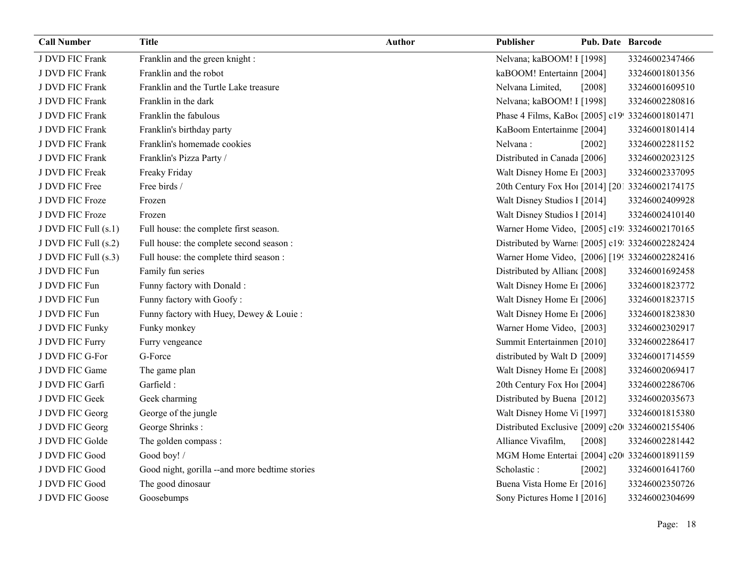| J DVD FIC Frank<br>Franklin and the green knight:<br>Nelvana; kaBOOM! I [1998]<br>33246002347466<br>Franklin and the robot<br>kaBOOM! Entertainn [2004]<br>J DVD FIC Frank<br>33246001801356<br>Franklin and the Turtle Lake treasure<br>J DVD FIC Frank<br>Nelvana Limited,<br>[2008]<br>33246001609510<br>Franklin in the dark<br>J DVD FIC Frank<br>Nelvana; kaBOOM! I [1998]<br>33246002280816<br>J DVD FIC Frank<br>Franklin the fabulous<br>Phase 4 Films, KaBo([2005] c19! 33246001801471<br>J DVD FIC Frank<br>KaBoom Entertainme [2004]<br>Franklin's birthday party<br>33246001801414<br>J DVD FIC Frank<br>Franklin's homemade cookies<br>Nelvana:<br>[2002]<br>33246002281152<br>J DVD FIC Frank<br>Franklin's Pizza Party /<br>Distributed in Canada [2006]<br>33246002023125<br>J DVD FIC Freak<br>Walt Disney Home E1 [2003]<br>Freaky Friday<br>33246002337095<br>Free birds /<br>J DVD FIC Free<br>20th Century Fox Ho! [2014] [201 33246002174175<br>J DVD FIC Froze<br>Walt Disney Studios 1 [2014]<br>Frozen<br>33246002409928<br>J DVD FIC Froze<br>Walt Disney Studios 1 [2014]<br>33246002410140<br>Frozen<br>J DVD FIC Full (s.1)<br>Full house: the complete first season.<br>Warner Home Video, [2005] c19: 33246002170165<br>Full house: the complete second season :<br>Distributed by Warne [2005] c19: 33246002282424<br>J DVD FIC Full (s.2)<br>Full house: the complete third season :<br>Warner Home Video, [2006] [199 33246002282416<br>J DVD FIC Full (s.3)<br>Family fun series<br>Distributed by Allian [2008]<br>J DVD FIC Fun<br>33246001692458<br>Funny factory with Donald :<br>J DVD FIC Fun<br>Walt Disney Home E1 [2006]<br>33246001823772<br>Funny factory with Goofy:<br>Walt Disney Home E1 [2006]<br>J DVD FIC Fun<br>33246001823715<br>J DVD FIC Fun<br>Funny factory with Huey, Dewey & Louie:<br>Walt Disney Home E1 [2006]<br>33246001823830<br>Funky monkey<br>Warner Home Video, [2003]<br>J DVD FIC Funky<br>33246002302917<br>Summit Entertainmen [2010]<br>J DVD FIC Furry<br>Furry vengeance<br>33246002286417<br>distributed by Walt D [2009]<br>J DVD FIC G-For<br>G-Force<br>33246001714559<br>Walt Disney Home E1 [2008]<br>J DVD FIC Game<br>The game plan<br>33246002069417<br>J DVD FIC Garfi<br>Garfield:<br>20th Century Fox Ho! [2004]<br>33246002286706<br>Distributed by Buena [2012]<br>J DVD FIC Geek<br>Geek charming<br>33246002035673<br>Walt Disney Home V <sub>1</sub> [1997]<br>George of the jungle<br>J DVD FIC Georg<br>33246001815380<br>J DVD FIC Georg<br>George Shrinks:<br>Distributed Exclusive [2009] c20 33246002155406<br>J DVD FIC Golde<br>The golden compass :<br>Alliance Vivafilm,<br>[2008]<br>33246002281442<br>J DVD FIC Good<br>Good boy! /<br>MGM Home Entertai [2004] c20 33246001891159<br>J DVD FIC Good<br>Good night, gorilla --and more bedtime stories<br>Scholastic:<br>$[2002]$<br>33246001641760<br>J DVD FIC Good<br>The good dinosaur<br>Buena Vista Home Er [2016]<br>33246002350726<br>Sony Pictures Home 1 [2016]<br>J DVD FIC Goose<br>Goosebumps<br>33246002304699 | <b>Call Number</b> | <b>Title</b> | <b>Author</b> | <b>Publisher</b> | Pub. Date Barcode |  |
|------------------------------------------------------------------------------------------------------------------------------------------------------------------------------------------------------------------------------------------------------------------------------------------------------------------------------------------------------------------------------------------------------------------------------------------------------------------------------------------------------------------------------------------------------------------------------------------------------------------------------------------------------------------------------------------------------------------------------------------------------------------------------------------------------------------------------------------------------------------------------------------------------------------------------------------------------------------------------------------------------------------------------------------------------------------------------------------------------------------------------------------------------------------------------------------------------------------------------------------------------------------------------------------------------------------------------------------------------------------------------------------------------------------------------------------------------------------------------------------------------------------------------------------------------------------------------------------------------------------------------------------------------------------------------------------------------------------------------------------------------------------------------------------------------------------------------------------------------------------------------------------------------------------------------------------------------------------------------------------------------------------------------------------------------------------------------------------------------------------------------------------------------------------------------------------------------------------------------------------------------------------------------------------------------------------------------------------------------------------------------------------------------------------------------------------------------------------------------------------------------------------------------------------------------------------------------------------------------------------------------------------------------------------------------------------------------------------------------------------------------------------------------------------------------------------------------------------------------------------------------------------------------------------------------------------------------------------------------------------------------------------------------------------------------------------------------------------|--------------------|--------------|---------------|------------------|-------------------|--|
|                                                                                                                                                                                                                                                                                                                                                                                                                                                                                                                                                                                                                                                                                                                                                                                                                                                                                                                                                                                                                                                                                                                                                                                                                                                                                                                                                                                                                                                                                                                                                                                                                                                                                                                                                                                                                                                                                                                                                                                                                                                                                                                                                                                                                                                                                                                                                                                                                                                                                                                                                                                                                                                                                                                                                                                                                                                                                                                                                                                                                                                                                          |                    |              |               |                  |                   |  |
|                                                                                                                                                                                                                                                                                                                                                                                                                                                                                                                                                                                                                                                                                                                                                                                                                                                                                                                                                                                                                                                                                                                                                                                                                                                                                                                                                                                                                                                                                                                                                                                                                                                                                                                                                                                                                                                                                                                                                                                                                                                                                                                                                                                                                                                                                                                                                                                                                                                                                                                                                                                                                                                                                                                                                                                                                                                                                                                                                                                                                                                                                          |                    |              |               |                  |                   |  |
|                                                                                                                                                                                                                                                                                                                                                                                                                                                                                                                                                                                                                                                                                                                                                                                                                                                                                                                                                                                                                                                                                                                                                                                                                                                                                                                                                                                                                                                                                                                                                                                                                                                                                                                                                                                                                                                                                                                                                                                                                                                                                                                                                                                                                                                                                                                                                                                                                                                                                                                                                                                                                                                                                                                                                                                                                                                                                                                                                                                                                                                                                          |                    |              |               |                  |                   |  |
|                                                                                                                                                                                                                                                                                                                                                                                                                                                                                                                                                                                                                                                                                                                                                                                                                                                                                                                                                                                                                                                                                                                                                                                                                                                                                                                                                                                                                                                                                                                                                                                                                                                                                                                                                                                                                                                                                                                                                                                                                                                                                                                                                                                                                                                                                                                                                                                                                                                                                                                                                                                                                                                                                                                                                                                                                                                                                                                                                                                                                                                                                          |                    |              |               |                  |                   |  |
|                                                                                                                                                                                                                                                                                                                                                                                                                                                                                                                                                                                                                                                                                                                                                                                                                                                                                                                                                                                                                                                                                                                                                                                                                                                                                                                                                                                                                                                                                                                                                                                                                                                                                                                                                                                                                                                                                                                                                                                                                                                                                                                                                                                                                                                                                                                                                                                                                                                                                                                                                                                                                                                                                                                                                                                                                                                                                                                                                                                                                                                                                          |                    |              |               |                  |                   |  |
|                                                                                                                                                                                                                                                                                                                                                                                                                                                                                                                                                                                                                                                                                                                                                                                                                                                                                                                                                                                                                                                                                                                                                                                                                                                                                                                                                                                                                                                                                                                                                                                                                                                                                                                                                                                                                                                                                                                                                                                                                                                                                                                                                                                                                                                                                                                                                                                                                                                                                                                                                                                                                                                                                                                                                                                                                                                                                                                                                                                                                                                                                          |                    |              |               |                  |                   |  |
|                                                                                                                                                                                                                                                                                                                                                                                                                                                                                                                                                                                                                                                                                                                                                                                                                                                                                                                                                                                                                                                                                                                                                                                                                                                                                                                                                                                                                                                                                                                                                                                                                                                                                                                                                                                                                                                                                                                                                                                                                                                                                                                                                                                                                                                                                                                                                                                                                                                                                                                                                                                                                                                                                                                                                                                                                                                                                                                                                                                                                                                                                          |                    |              |               |                  |                   |  |
|                                                                                                                                                                                                                                                                                                                                                                                                                                                                                                                                                                                                                                                                                                                                                                                                                                                                                                                                                                                                                                                                                                                                                                                                                                                                                                                                                                                                                                                                                                                                                                                                                                                                                                                                                                                                                                                                                                                                                                                                                                                                                                                                                                                                                                                                                                                                                                                                                                                                                                                                                                                                                                                                                                                                                                                                                                                                                                                                                                                                                                                                                          |                    |              |               |                  |                   |  |
|                                                                                                                                                                                                                                                                                                                                                                                                                                                                                                                                                                                                                                                                                                                                                                                                                                                                                                                                                                                                                                                                                                                                                                                                                                                                                                                                                                                                                                                                                                                                                                                                                                                                                                                                                                                                                                                                                                                                                                                                                                                                                                                                                                                                                                                                                                                                                                                                                                                                                                                                                                                                                                                                                                                                                                                                                                                                                                                                                                                                                                                                                          |                    |              |               |                  |                   |  |
|                                                                                                                                                                                                                                                                                                                                                                                                                                                                                                                                                                                                                                                                                                                                                                                                                                                                                                                                                                                                                                                                                                                                                                                                                                                                                                                                                                                                                                                                                                                                                                                                                                                                                                                                                                                                                                                                                                                                                                                                                                                                                                                                                                                                                                                                                                                                                                                                                                                                                                                                                                                                                                                                                                                                                                                                                                                                                                                                                                                                                                                                                          |                    |              |               |                  |                   |  |
|                                                                                                                                                                                                                                                                                                                                                                                                                                                                                                                                                                                                                                                                                                                                                                                                                                                                                                                                                                                                                                                                                                                                                                                                                                                                                                                                                                                                                                                                                                                                                                                                                                                                                                                                                                                                                                                                                                                                                                                                                                                                                                                                                                                                                                                                                                                                                                                                                                                                                                                                                                                                                                                                                                                                                                                                                                                                                                                                                                                                                                                                                          |                    |              |               |                  |                   |  |
|                                                                                                                                                                                                                                                                                                                                                                                                                                                                                                                                                                                                                                                                                                                                                                                                                                                                                                                                                                                                                                                                                                                                                                                                                                                                                                                                                                                                                                                                                                                                                                                                                                                                                                                                                                                                                                                                                                                                                                                                                                                                                                                                                                                                                                                                                                                                                                                                                                                                                                                                                                                                                                                                                                                                                                                                                                                                                                                                                                                                                                                                                          |                    |              |               |                  |                   |  |
|                                                                                                                                                                                                                                                                                                                                                                                                                                                                                                                                                                                                                                                                                                                                                                                                                                                                                                                                                                                                                                                                                                                                                                                                                                                                                                                                                                                                                                                                                                                                                                                                                                                                                                                                                                                                                                                                                                                                                                                                                                                                                                                                                                                                                                                                                                                                                                                                                                                                                                                                                                                                                                                                                                                                                                                                                                                                                                                                                                                                                                                                                          |                    |              |               |                  |                   |  |
|                                                                                                                                                                                                                                                                                                                                                                                                                                                                                                                                                                                                                                                                                                                                                                                                                                                                                                                                                                                                                                                                                                                                                                                                                                                                                                                                                                                                                                                                                                                                                                                                                                                                                                                                                                                                                                                                                                                                                                                                                                                                                                                                                                                                                                                                                                                                                                                                                                                                                                                                                                                                                                                                                                                                                                                                                                                                                                                                                                                                                                                                                          |                    |              |               |                  |                   |  |
|                                                                                                                                                                                                                                                                                                                                                                                                                                                                                                                                                                                                                                                                                                                                                                                                                                                                                                                                                                                                                                                                                                                                                                                                                                                                                                                                                                                                                                                                                                                                                                                                                                                                                                                                                                                                                                                                                                                                                                                                                                                                                                                                                                                                                                                                                                                                                                                                                                                                                                                                                                                                                                                                                                                                                                                                                                                                                                                                                                                                                                                                                          |                    |              |               |                  |                   |  |
|                                                                                                                                                                                                                                                                                                                                                                                                                                                                                                                                                                                                                                                                                                                                                                                                                                                                                                                                                                                                                                                                                                                                                                                                                                                                                                                                                                                                                                                                                                                                                                                                                                                                                                                                                                                                                                                                                                                                                                                                                                                                                                                                                                                                                                                                                                                                                                                                                                                                                                                                                                                                                                                                                                                                                                                                                                                                                                                                                                                                                                                                                          |                    |              |               |                  |                   |  |
|                                                                                                                                                                                                                                                                                                                                                                                                                                                                                                                                                                                                                                                                                                                                                                                                                                                                                                                                                                                                                                                                                                                                                                                                                                                                                                                                                                                                                                                                                                                                                                                                                                                                                                                                                                                                                                                                                                                                                                                                                                                                                                                                                                                                                                                                                                                                                                                                                                                                                                                                                                                                                                                                                                                                                                                                                                                                                                                                                                                                                                                                                          |                    |              |               |                  |                   |  |
|                                                                                                                                                                                                                                                                                                                                                                                                                                                                                                                                                                                                                                                                                                                                                                                                                                                                                                                                                                                                                                                                                                                                                                                                                                                                                                                                                                                                                                                                                                                                                                                                                                                                                                                                                                                                                                                                                                                                                                                                                                                                                                                                                                                                                                                                                                                                                                                                                                                                                                                                                                                                                                                                                                                                                                                                                                                                                                                                                                                                                                                                                          |                    |              |               |                  |                   |  |
|                                                                                                                                                                                                                                                                                                                                                                                                                                                                                                                                                                                                                                                                                                                                                                                                                                                                                                                                                                                                                                                                                                                                                                                                                                                                                                                                                                                                                                                                                                                                                                                                                                                                                                                                                                                                                                                                                                                                                                                                                                                                                                                                                                                                                                                                                                                                                                                                                                                                                                                                                                                                                                                                                                                                                                                                                                                                                                                                                                                                                                                                                          |                    |              |               |                  |                   |  |
|                                                                                                                                                                                                                                                                                                                                                                                                                                                                                                                                                                                                                                                                                                                                                                                                                                                                                                                                                                                                                                                                                                                                                                                                                                                                                                                                                                                                                                                                                                                                                                                                                                                                                                                                                                                                                                                                                                                                                                                                                                                                                                                                                                                                                                                                                                                                                                                                                                                                                                                                                                                                                                                                                                                                                                                                                                                                                                                                                                                                                                                                                          |                    |              |               |                  |                   |  |
|                                                                                                                                                                                                                                                                                                                                                                                                                                                                                                                                                                                                                                                                                                                                                                                                                                                                                                                                                                                                                                                                                                                                                                                                                                                                                                                                                                                                                                                                                                                                                                                                                                                                                                                                                                                                                                                                                                                                                                                                                                                                                                                                                                                                                                                                                                                                                                                                                                                                                                                                                                                                                                                                                                                                                                                                                                                                                                                                                                                                                                                                                          |                    |              |               |                  |                   |  |
|                                                                                                                                                                                                                                                                                                                                                                                                                                                                                                                                                                                                                                                                                                                                                                                                                                                                                                                                                                                                                                                                                                                                                                                                                                                                                                                                                                                                                                                                                                                                                                                                                                                                                                                                                                                                                                                                                                                                                                                                                                                                                                                                                                                                                                                                                                                                                                                                                                                                                                                                                                                                                                                                                                                                                                                                                                                                                                                                                                                                                                                                                          |                    |              |               |                  |                   |  |
|                                                                                                                                                                                                                                                                                                                                                                                                                                                                                                                                                                                                                                                                                                                                                                                                                                                                                                                                                                                                                                                                                                                                                                                                                                                                                                                                                                                                                                                                                                                                                                                                                                                                                                                                                                                                                                                                                                                                                                                                                                                                                                                                                                                                                                                                                                                                                                                                                                                                                                                                                                                                                                                                                                                                                                                                                                                                                                                                                                                                                                                                                          |                    |              |               |                  |                   |  |
|                                                                                                                                                                                                                                                                                                                                                                                                                                                                                                                                                                                                                                                                                                                                                                                                                                                                                                                                                                                                                                                                                                                                                                                                                                                                                                                                                                                                                                                                                                                                                                                                                                                                                                                                                                                                                                                                                                                                                                                                                                                                                                                                                                                                                                                                                                                                                                                                                                                                                                                                                                                                                                                                                                                                                                                                                                                                                                                                                                                                                                                                                          |                    |              |               |                  |                   |  |
|                                                                                                                                                                                                                                                                                                                                                                                                                                                                                                                                                                                                                                                                                                                                                                                                                                                                                                                                                                                                                                                                                                                                                                                                                                                                                                                                                                                                                                                                                                                                                                                                                                                                                                                                                                                                                                                                                                                                                                                                                                                                                                                                                                                                                                                                                                                                                                                                                                                                                                                                                                                                                                                                                                                                                                                                                                                                                                                                                                                                                                                                                          |                    |              |               |                  |                   |  |
|                                                                                                                                                                                                                                                                                                                                                                                                                                                                                                                                                                                                                                                                                                                                                                                                                                                                                                                                                                                                                                                                                                                                                                                                                                                                                                                                                                                                                                                                                                                                                                                                                                                                                                                                                                                                                                                                                                                                                                                                                                                                                                                                                                                                                                                                                                                                                                                                                                                                                                                                                                                                                                                                                                                                                                                                                                                                                                                                                                                                                                                                                          |                    |              |               |                  |                   |  |
|                                                                                                                                                                                                                                                                                                                                                                                                                                                                                                                                                                                                                                                                                                                                                                                                                                                                                                                                                                                                                                                                                                                                                                                                                                                                                                                                                                                                                                                                                                                                                                                                                                                                                                                                                                                                                                                                                                                                                                                                                                                                                                                                                                                                                                                                                                                                                                                                                                                                                                                                                                                                                                                                                                                                                                                                                                                                                                                                                                                                                                                                                          |                    |              |               |                  |                   |  |
|                                                                                                                                                                                                                                                                                                                                                                                                                                                                                                                                                                                                                                                                                                                                                                                                                                                                                                                                                                                                                                                                                                                                                                                                                                                                                                                                                                                                                                                                                                                                                                                                                                                                                                                                                                                                                                                                                                                                                                                                                                                                                                                                                                                                                                                                                                                                                                                                                                                                                                                                                                                                                                                                                                                                                                                                                                                                                                                                                                                                                                                                                          |                    |              |               |                  |                   |  |
|                                                                                                                                                                                                                                                                                                                                                                                                                                                                                                                                                                                                                                                                                                                                                                                                                                                                                                                                                                                                                                                                                                                                                                                                                                                                                                                                                                                                                                                                                                                                                                                                                                                                                                                                                                                                                                                                                                                                                                                                                                                                                                                                                                                                                                                                                                                                                                                                                                                                                                                                                                                                                                                                                                                                                                                                                                                                                                                                                                                                                                                                                          |                    |              |               |                  |                   |  |
|                                                                                                                                                                                                                                                                                                                                                                                                                                                                                                                                                                                                                                                                                                                                                                                                                                                                                                                                                                                                                                                                                                                                                                                                                                                                                                                                                                                                                                                                                                                                                                                                                                                                                                                                                                                                                                                                                                                                                                                                                                                                                                                                                                                                                                                                                                                                                                                                                                                                                                                                                                                                                                                                                                                                                                                                                                                                                                                                                                                                                                                                                          |                    |              |               |                  |                   |  |
|                                                                                                                                                                                                                                                                                                                                                                                                                                                                                                                                                                                                                                                                                                                                                                                                                                                                                                                                                                                                                                                                                                                                                                                                                                                                                                                                                                                                                                                                                                                                                                                                                                                                                                                                                                                                                                                                                                                                                                                                                                                                                                                                                                                                                                                                                                                                                                                                                                                                                                                                                                                                                                                                                                                                                                                                                                                                                                                                                                                                                                                                                          |                    |              |               |                  |                   |  |
|                                                                                                                                                                                                                                                                                                                                                                                                                                                                                                                                                                                                                                                                                                                                                                                                                                                                                                                                                                                                                                                                                                                                                                                                                                                                                                                                                                                                                                                                                                                                                                                                                                                                                                                                                                                                                                                                                                                                                                                                                                                                                                                                                                                                                                                                                                                                                                                                                                                                                                                                                                                                                                                                                                                                                                                                                                                                                                                                                                                                                                                                                          |                    |              |               |                  |                   |  |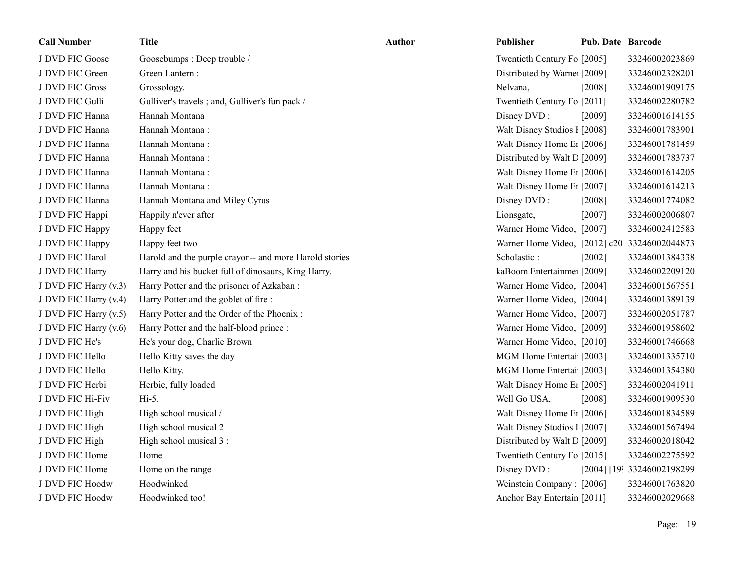| <b>Call Number</b>    | <b>Title</b>                                           | <b>Author</b> | Publisher                                    | <b>Pub. Date Barcode</b> |                            |
|-----------------------|--------------------------------------------------------|---------------|----------------------------------------------|--------------------------|----------------------------|
| J DVD FIC Goose       | Goosebumps: Deep trouble /                             |               | Twentieth Century Fo [2005]                  |                          | 33246002023869             |
| J DVD FIC Green       | Green Lantern:                                         |               | Distributed by Warne [2009]                  |                          | 33246002328201             |
| J DVD FIC Gross       | Grossology.                                            |               | Nelvana,                                     | [2008]                   | 33246001909175             |
| J DVD FIC Gulli       | Gulliver's travels; and, Gulliver's fun pack /         |               | Twentieth Century Fo [2011]                  |                          | 33246002280782             |
| J DVD FIC Hanna       | Hannah Montana                                         |               | Disney DVD:                                  | [2009]                   | 33246001614155             |
| J DVD FIC Hanna       | Hannah Montana:                                        |               | Walt Disney Studios 1 [2008]                 |                          | 33246001783901             |
| J DVD FIC Hanna       | Hannah Montana:                                        |               | Walt Disney Home E1 [2006]                   |                          | 33246001781459             |
| J DVD FIC Hanna       | Hannah Montana:                                        |               | Distributed by Walt L [2009]                 |                          | 33246001783737             |
| J DVD FIC Hanna       | Hannah Montana:                                        |               | Walt Disney Home E1 [2006]                   |                          | 33246001614205             |
| J DVD FIC Hanna       | Hannah Montana:                                        |               | Walt Disney Home E <sub>1</sub> [2007]       |                          | 33246001614213             |
| J DVD FIC Hanna       | Hannah Montana and Miley Cyrus                         |               | Disney DVD:                                  | [2008]                   | 33246001774082             |
| J DVD FIC Happi       | Happily n'ever after                                   |               | Lionsgate,                                   | $[2007]$                 | 33246002006807             |
| J DVD FIC Happy       | Happy feet                                             |               | Warner Home Video, [2007]                    |                          | 33246002412583             |
| J DVD FIC Happy       | Happy feet two                                         |               | Warner Home Video, [2012] c20 33246002044873 |                          |                            |
| J DVD FIC Harol       | Harold and the purple crayon-- and more Harold stories |               | Scholastic:                                  | [2002]                   | 33246001384338             |
| J DVD FIC Harry       | Harry and his bucket full of dinosaurs, King Harry.    |               | kaBoom Entertainme: [2009]                   |                          | 33246002209120             |
| J DVD FIC Harry (v.3) | Harry Potter and the prisoner of Azkaban :             |               | Warner Home Video, [2004]                    |                          | 33246001567551             |
| J DVD FIC Harry (v.4) | Harry Potter and the goblet of fire :                  |               | Warner Home Video, [2004]                    |                          | 33246001389139             |
| J DVD FIC Harry (v.5) | Harry Potter and the Order of the Phoenix :            |               | Warner Home Video, [2007]                    |                          | 33246002051787             |
| J DVD FIC Harry (v.6) | Harry Potter and the half-blood prince :               |               | Warner Home Video, [2009]                    |                          | 33246001958602             |
| J DVD FIC He's        | He's your dog, Charlie Brown                           |               | Warner Home Video, [2010]                    |                          | 33246001746668             |
| J DVD FIC Hello       | Hello Kitty saves the day                              |               | MGM Home Entertai [2003]                     |                          | 33246001335710             |
| J DVD FIC Hello       | Hello Kitty.                                           |               | MGM Home Entertai [2003]                     |                          | 33246001354380             |
| J DVD FIC Herbi       | Herbie, fully loaded                                   |               | Walt Disney Home E1 [2005]                   |                          | 33246002041911             |
| J DVD FIC Hi-Fiv      | Hi-5.                                                  |               | Well Go USA,                                 | [2008]                   | 33246001909530             |
| J DVD FIC High        | High school musical /                                  |               | Walt Disney Home E1 [2006]                   |                          | 33246001834589             |
| J DVD FIC High        | High school musical 2                                  |               | Walt Disney Studios 1 [2007]                 |                          | 33246001567494             |
| J DVD FIC High        | High school musical 3 :                                |               | Distributed by Walt L [2009]                 |                          | 33246002018042             |
| J DVD FIC Home        | Home                                                   |               | Twentieth Century Fo [2015]                  |                          | 33246002275592             |
| J DVD FIC Home        | Home on the range                                      |               | Disney DVD:                                  |                          | [2004] [199 33246002198299 |
| J DVD FIC Hoodw       | Hoodwinked                                             |               | Weinstein Company: [2006]                    |                          | 33246001763820             |
| J DVD FIC Hoodw       | Hoodwinked too!                                        |               | Anchor Bay Entertain [2011]                  |                          | 33246002029668             |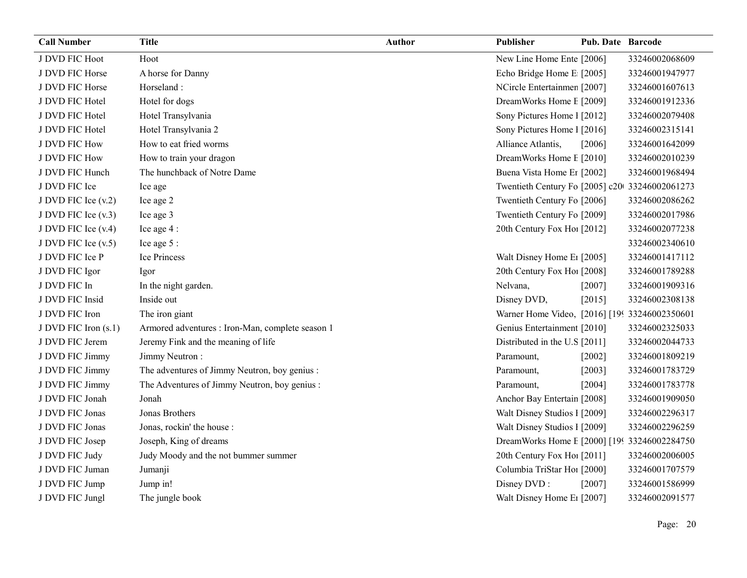| <b>Call Number</b>   | <b>Title</b>                                     | <b>Author</b> | Publisher                                      | <b>Pub. Date Barcode</b> |                |
|----------------------|--------------------------------------------------|---------------|------------------------------------------------|--------------------------|----------------|
| J DVD FIC Hoot       | Hoot                                             |               | New Line Home Ente [2006]                      |                          | 33246002068609 |
| J DVD FIC Horse      | A horse for Danny                                |               | Echo Bridge Home E [2005]                      |                          | 33246001947977 |
| J DVD FIC Horse      | Horseland:                                       |               | NCircle Entertainmen [2007]                    |                          | 33246001607613 |
| J DVD FIC Hotel      | Hotel for dogs                                   |               | DreamWorks Home E [2009]                       |                          | 33246001912336 |
| J DVD FIC Hotel      | Hotel Transylvania                               |               | Sony Pictures Home 1 [2012]                    |                          | 33246002079408 |
| J DVD FIC Hotel      | Hotel Transylvania 2                             |               | Sony Pictures Home 1 [2016]                    |                          | 33246002315141 |
| J DVD FIC How        | How to eat fried worms                           |               | Alliance Atlantis,                             | [2006]                   | 33246001642099 |
| J DVD FIC How        | How to train your dragon                         |               | DreamWorks Home E [2010]                       |                          | 33246002010239 |
| J DVD FIC Hunch      | The hunchback of Notre Dame                      |               | Buena Vista Home Er [2002]                     |                          | 33246001968494 |
| J DVD FIC Ice        | Ice age                                          |               | Twentieth Century Fo [2005] c20 33246002061273 |                          |                |
| J DVD FIC Ice (v.2)  | Ice age 2                                        |               | Twentieth Century Fo [2006]                    |                          | 33246002086262 |
| J DVD FIC Ice (v.3)  | Ice age 3                                        |               | Twentieth Century Fo [2009]                    |                          | 33246002017986 |
| J DVD FIC Ice (v.4)  | Ice age 4 :                                      |               | 20th Century Fox Ho! [2012]                    |                          | 33246002077238 |
| J DVD FIC Ice (v.5)  | Ice age 5 :                                      |               |                                                |                          | 33246002340610 |
| J DVD FIC Ice P      | Ice Princess                                     |               | Walt Disney Home E <sub>1</sub> [2005]         |                          | 33246001417112 |
| J DVD FIC Igor       | Igor                                             |               | 20th Century Fox Ho! [2008]                    |                          | 33246001789288 |
| J DVD FIC In         | In the night garden.                             |               | Nelvana,                                       | [2007]                   | 33246001909316 |
| J DVD FIC Insid      | Inside out                                       |               | Disney DVD,                                    | [2015]                   | 33246002308138 |
| J DVD FIC Iron       | The iron giant                                   |               | Warner Home Video, [2016] [199 33246002350601  |                          |                |
| J DVD FIC Iron (s.1) | Armored adventures : Iron-Man, complete season 1 |               | Genius Entertainment [2010]                    |                          | 33246002325033 |
| J DVD FIC Jerem      | Jeremy Fink and the meaning of life              |               | Distributed in the U.S [2011]                  |                          | 33246002044733 |
| J DVD FIC Jimmy      | Jimmy Neutron:                                   |               | Paramount,                                     | $[2002]$                 | 33246001809219 |
| J DVD FIC Jimmy      | The adventures of Jimmy Neutron, boy genius :    |               | Paramount,                                     | [2003]                   | 33246001783729 |
| J DVD FIC Jimmy      | The Adventures of Jimmy Neutron, boy genius :    |               | Paramount,                                     | [2004]                   | 33246001783778 |
| J DVD FIC Jonah      | Jonah                                            |               | Anchor Bay Entertain [2008]                    |                          | 33246001909050 |
| J DVD FIC Jonas      | Jonas Brothers                                   |               | Walt Disney Studios 1 [2009]                   |                          | 33246002296317 |
| J DVD FIC Jonas      | Jonas, rockin' the house :                       |               | Walt Disney Studios 1 [2009]                   |                          | 33246002296259 |
| J DVD FIC Josep      | Joseph, King of dreams                           |               | DreamWorks Home E [2000] [199 33246002284750   |                          |                |
| J DVD FIC Judy       | Judy Moody and the not bummer summer             |               | 20th Century Fox Ho! [2011]                    |                          | 33246002006005 |
| J DVD FIC Juman      | Jumanji                                          |               | Columbia TriStar Hoi [2000]                    |                          | 33246001707579 |
| J DVD FIC Jump       | Jump in!                                         |               | Disney DVD:                                    | [2007]                   | 33246001586999 |
| J DVD FIC Jungl      | The jungle book                                  |               | Walt Disney Home E1 [2007]                     |                          | 33246002091577 |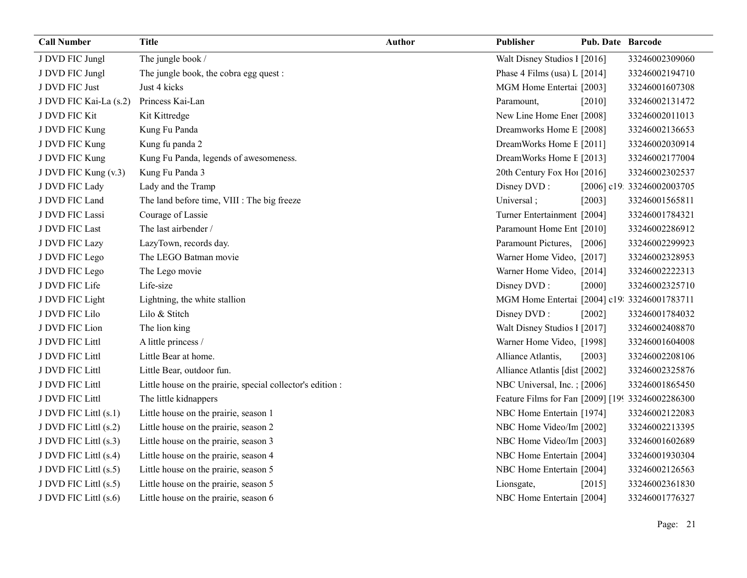| <b>Call Number</b>     | <b>Title</b>                                               | <b>Author</b> | Publisher                                        | <b>Pub. Date Barcode</b> |                            |
|------------------------|------------------------------------------------------------|---------------|--------------------------------------------------|--------------------------|----------------------------|
| J DVD FIC Jungl        | The jungle book /                                          |               | Walt Disney Studios 1 [2016]                     |                          | 33246002309060             |
| J DVD FIC Jungl        | The jungle book, the cobra egg quest :                     |               | Phase 4 Films (usa) L [2014]                     |                          | 33246002194710             |
| J DVD FIC Just         | Just 4 kicks                                               |               | MGM Home Entertai [2003]                         |                          | 33246001607308             |
| J DVD FIC Kai-La (s.2) | Princess Kai-Lan                                           |               | Paramount,                                       | $[2010]$                 | 33246002131472             |
| J DVD FIC Kit          | Kit Kittredge                                              |               | New Line Home Ener [2008]                        |                          | 33246002011013             |
| J DVD FIC Kung         | Kung Fu Panda                                              |               | Dreamworks Home E [2008]                         |                          | 33246002136653             |
| J DVD FIC Kung         | Kung fu panda 2                                            |               | DreamWorks Home E [2011]                         |                          | 33246002030914             |
| J DVD FIC Kung         | Kung Fu Panda, legends of awesomeness.                     |               | DreamWorks Home E [2013]                         |                          | 33246002177004             |
| J DVD FIC Kung (v.3)   | Kung Fu Panda 3                                            |               | 20th Century Fox Ho! [2016]                      |                          | 33246002302537             |
| J DVD FIC Lady         | Lady and the Tramp                                         |               | Disney DVD:                                      |                          | [2006] c19: 33246002003705 |
| J DVD FIC Land         | The land before time, VIII : The big freeze                |               | Universal;                                       | [2003]                   | 33246001565811             |
| J DVD FIC Lassi        | Courage of Lassie                                          |               | Turner Entertainment [2004]                      |                          | 33246001784321             |
| J DVD FIC Last         | The last airbender /                                       |               | Paramount Home Ent [2010]                        |                          | 33246002286912             |
| J DVD FIC Lazy         | LazyTown, records day.                                     |               | Paramount Pictures, [2006]                       |                          | 33246002299923             |
| J DVD FIC Lego         | The LEGO Batman movie                                      |               | Warner Home Video, [2017]                        |                          | 33246002328953             |
| J DVD FIC Lego         | The Lego movie                                             |               | Warner Home Video, [2014]                        |                          | 33246002222313             |
| J DVD FIC Life         | Life-size                                                  |               | Disney DVD:                                      | [2000]                   | 33246002325710             |
| J DVD FIC Light        | Lightning, the white stallion                              |               | MGM Home Entertai [2004] c19: 33246001783711     |                          |                            |
| J DVD FIC Lilo         | Lilo & Stitch                                              |               | Disney DVD:                                      | [2002]                   | 33246001784032             |
| J DVD FIC Lion         | The lion king                                              |               | Walt Disney Studios I [2017]                     |                          | 33246002408870             |
| J DVD FIC Littl        | A little princess /                                        |               | Warner Home Video, [1998]                        |                          | 33246001604008             |
| J DVD FIC Littl        | Little Bear at home.                                       |               | Alliance Atlantis,                               | [2003]                   | 33246002208106             |
| J DVD FIC Littl        | Little Bear, outdoor fun.                                  |               | Alliance Atlantis [dist [2002]                   |                          | 33246002325876             |
| J DVD FIC Littl        | Little house on the prairie, special collector's edition : |               | NBC Universal, Inc.: [2006]                      |                          | 33246001865450             |
| J DVD FIC Littl        | The little kidnappers                                      |               | Feature Films for Fan [2009] [199 33246002286300 |                          |                            |
| J DVD FIC Littl (s.1)  | Little house on the prairie, season 1                      |               | NBC Home Entertain [1974]                        |                          | 33246002122083             |
| J DVD FIC Littl (s.2)  | Little house on the prairie, season 2                      |               | NBC Home Video/Im [2002]                         |                          | 33246002213395             |
| J DVD FIC Littl (s.3)  | Little house on the prairie, season 3                      |               | NBC Home Video/Im [2003]                         |                          | 33246001602689             |
| J DVD FIC Littl (s.4)  | Little house on the prairie, season 4                      |               | NBC Home Entertain [2004]                        |                          | 33246001930304             |
| J DVD FIC Littl (s.5)  | Little house on the prairie, season 5                      |               | NBC Home Entertain [2004]                        |                          | 33246002126563             |
| J DVD FIC Littl (s.5)  | Little house on the prairie, season 5                      |               | Lionsgate,                                       | $[2015]$                 | 33246002361830             |
| J DVD FIC Littl (s.6)  | Little house on the prairie, season 6                      |               | NBC Home Entertain [2004]                        |                          | 33246001776327             |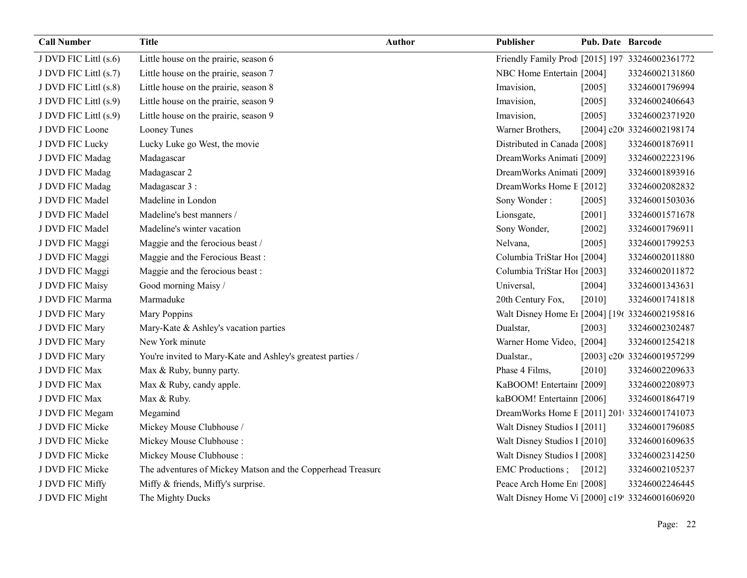| <b>Call Number</b>    | <b>Title</b>                                                | Author | <b>Publisher</b>                                           | <b>Pub. Date Barcode</b> |                            |
|-----------------------|-------------------------------------------------------------|--------|------------------------------------------------------------|--------------------------|----------------------------|
| J DVD FIC Littl (s.6) | Little house on the prairie, season 6                       |        | Friendly Family Prod [2015] 197 33246002361772             |                          |                            |
| J DVD FIC Littl (s.7) | Little house on the prairie, season 7                       |        | NBC Home Entertain [2004]                                  |                          | 33246002131860             |
| J DVD FIC Littl (s.8) | Little house on the prairie, season 8                       |        | Imavision,                                                 | [2005]                   | 33246001796994             |
| J DVD FIC Littl (s.9) | Little house on the prairie, season 9                       |        | Imavision,                                                 | [2005]                   | 33246002406643             |
| J DVD FIC Littl (s.9) | Little house on the prairie, season 9                       |        | Imavision,                                                 | [2005]                   | 33246002371920             |
| J DVD FIC Loone       | Looney Tunes                                                |        | Warner Brothers,                                           |                          | [2004] c20t 33246002198174 |
| J DVD FIC Lucky       | Lucky Luke go West, the movie                               |        | Distributed in Canada [2008]                               |                          | 33246001876911             |
| J DVD FIC Madag       | Madagascar                                                  |        | DreamWorks Animati [2009]                                  |                          | 33246002223196             |
| J DVD FIC Madag       | Madagascar 2                                                |        | DreamWorks Animati [2009]                                  |                          | 33246001893916             |
| J DVD FIC Madag       | Madagascar 3 :                                              |        | DreamWorks Home E [2012]                                   |                          | 33246002082832             |
| J DVD FIC Madel       | Madeline in London                                          |        | Sony Wonder:                                               | [2005]                   | 33246001503036             |
| J DVD FIC Madel       | Madeline's best manners /                                   |        | Lionsgate,                                                 | [2001]                   | 33246001571678             |
| J DVD FIC Madel       | Madeline's winter vacation                                  |        | Sony Wonder,                                               | $[2002]$                 | 33246001796911             |
| J DVD FIC Maggi       | Maggie and the ferocious beast /                            |        | Nelvana,                                                   | [2005]                   | 33246001799253             |
| J DVD FIC Maggi       | Maggie and the Ferocious Beast:                             |        | Columbia TriStar Hoi [2004]                                |                          | 33246002011880             |
| J DVD FIC Maggi       | Maggie and the ferocious beast:                             |        | Columbia TriStar Hoi [2003]                                |                          | 33246002011872             |
| J DVD FIC Maisy       | Good morning Maisy /                                        |        | Universal,                                                 | [2004]                   | 33246001343631             |
| J DVD FIC Marma       | Marmaduke                                                   |        | 20th Century Fox,                                          | [2010]                   | 33246001741818             |
| J DVD FIC Mary        | Mary Poppins                                                |        | Walt Disney Home E1 [2004] [19( 33246002195816             |                          |                            |
| J DVD FIC Mary        | Mary-Kate & Ashley's vacation parties                       |        | Dualstar,                                                  | [2003]                   | 33246002302487             |
| J DVD FIC Mary        | New York minute                                             |        | Warner Home Video, [2004]                                  |                          | 33246001254218             |
| J DVD FIC Mary        | You're invited to Mary-Kate and Ashley's greatest parties / |        | Dualstar.,                                                 |                          | [2003] c20t 33246001957299 |
| J DVD FIC Max         | Max & Ruby, bunny party.                                    |        | Phase 4 Films,                                             | [2010]                   | 33246002209633             |
| J DVD FIC Max         | Max & Ruby, candy apple.                                    |        | KaBOOM! Entertain [2009]                                   |                          | 33246002208973             |
| J DVD FIC Max         | Max & Ruby.                                                 |        | kaBOOM! Entertainn [2006]                                  |                          | 33246001864719             |
| J DVD FIC Megam       | Megamind                                                    |        | DreamWorks Home E [2011] 201 33246001741073                |                          |                            |
| J DVD FIC Micke       | Mickey Mouse Clubhouse /                                    |        | Walt Disney Studios I [2011]                               |                          | 33246001796085             |
| J DVD FIC Micke       | Mickey Mouse Clubhouse:                                     |        | Walt Disney Studios 1 [2010]                               |                          | 33246001609635             |
| J DVD FIC Micke       | Mickey Mouse Clubhouse :                                    |        | Walt Disney Studios 1 [2008]                               |                          | 33246002314250             |
| J DVD FIC Micke       | The adventures of Mickey Matson and the Copperhead Treasure |        | EMC Productions; [2012]                                    |                          | 33246002105237             |
| J DVD FIC Miffy       | Miffy & friends, Miffy's surprise.                          |        | Peace Arch Home En [2008]                                  |                          | 33246002246445             |
| J DVD FIC Might       | The Mighty Ducks                                            |        | Walt Disney Home V <sub>1</sub> [2000] c19! 33246001606920 |                          |                            |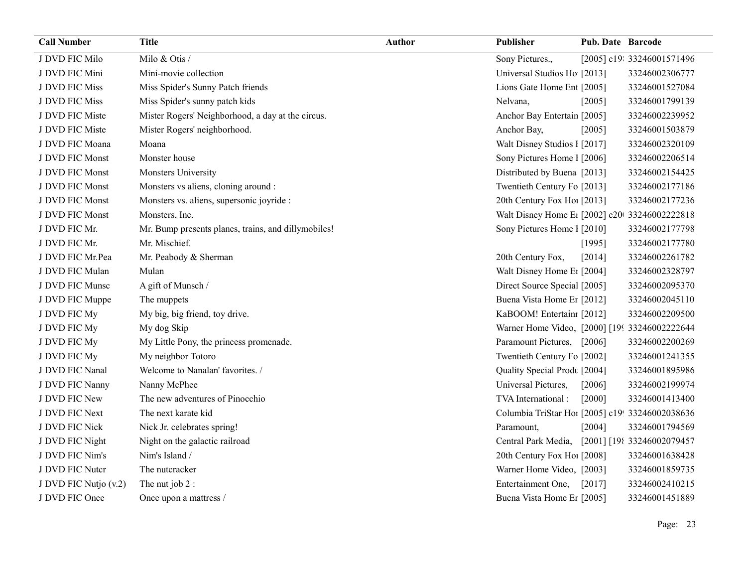| <b>Call Number</b>    | Title                                               | <b>Author</b> | Publisher                                       | <b>Pub. Date Barcode</b> |                            |
|-----------------------|-----------------------------------------------------|---------------|-------------------------------------------------|--------------------------|----------------------------|
| J DVD FIC Milo        | Milo & Otis /                                       |               | Sony Pictures.,                                 |                          | [2005] c19: 33246001571496 |
| J DVD FIC Mini        | Mini-movie collection                               |               | Universal Studios Ho [2013]                     |                          | 33246002306777             |
| J DVD FIC Miss        | Miss Spider's Sunny Patch friends                   |               | Lions Gate Home Ent [2005]                      |                          | 33246001527084             |
| J DVD FIC Miss        | Miss Spider's sunny patch kids                      |               | Nelvana,                                        | [2005]                   | 33246001799139             |
| J DVD FIC Miste       | Mister Rogers' Neighborhood, a day at the circus.   |               | Anchor Bay Entertain [2005]                     |                          | 33246002239952             |
| J DVD FIC Miste       | Mister Rogers' neighborhood.                        |               | Anchor Bay,                                     | [2005]                   | 33246001503879             |
| J DVD FIC Moana       | Moana                                               |               | Walt Disney Studios 1 [2017]                    |                          | 33246002320109             |
| J DVD FIC Monst       | Monster house                                       |               | Sony Pictures Home 1 [2006]                     |                          | 33246002206514             |
| J DVD FIC Monst       | Monsters University                                 |               | Distributed by Buena [2013]                     |                          | 33246002154425             |
| J DVD FIC Monst       | Monsters vs aliens, cloning around :                |               | Twentieth Century Fo [2013]                     |                          | 33246002177186             |
| J DVD FIC Monst       | Monsters vs. aliens, supersonic joyride :           |               | 20th Century Fox Ho! [2013]                     |                          | 33246002177236             |
| J DVD FIC Monst       | Monsters, Inc.                                      |               | Walt Disney Home E1 [2002] c20 33246002222818   |                          |                            |
| J DVD FIC Mr.         | Mr. Bump presents planes, trains, and dillymobiles! |               | Sony Pictures Home 1 [2010]                     |                          | 33246002177798             |
| J DVD FIC Mr.         | Mr. Mischief.                                       |               |                                                 | [1995]                   | 33246002177780             |
| J DVD FIC Mr.Pea      | Mr. Peabody & Sherman                               |               | 20th Century Fox,                               | [2014]                   | 33246002261782             |
| J DVD FIC Mulan       | Mulan                                               |               | Walt Disney Home E1 [2004]                      |                          | 33246002328797             |
| J DVD FIC Munsc       | A gift of Munsch /                                  |               | Direct Source Special [2005]                    |                          | 33246002095370             |
| J DVD FIC Muppe       | The muppets                                         |               | Buena Vista Home Er [2012]                      |                          | 33246002045110             |
| J DVD FIC My          | My big, big friend, toy drive.                      |               | KaBOOM! Entertain: [2012]                       |                          | 33246002209500             |
| J DVD FIC My          | My dog Skip                                         |               | Warner Home Video, [2000] [199 33246002222644   |                          |                            |
| J DVD FIC My          | My Little Pony, the princess promenade.             |               | Paramount Pictures, [2006]                      |                          | 33246002200269             |
| J DVD FIC My          | My neighbor Totoro                                  |               | Twentieth Century Fo [2002]                     |                          | 33246001241355             |
| J DVD FIC Nanal       | Welcome to Nanalan' favorites. /                    |               | Quality Special Prodt [2004]                    |                          | 33246001895986             |
| J DVD FIC Nanny       | Nanny McPhee                                        |               | Universal Pictures,                             | [2006]                   | 33246002199974             |
| J DVD FIC New         | The new adventures of Pinocchio                     |               | TVA International:                              | [2000]                   | 33246001413400             |
| J DVD FIC Next        | The next karate kid                                 |               | Columbia TriStar Hoi [2005] c19! 33246002038636 |                          |                            |
| J DVD FIC Nick        | Nick Jr. celebrates spring!                         |               | Paramount,                                      | [2004]                   | 33246001794569             |
| J DVD FIC Night       | Night on the galactic railroad                      |               | Central Park Media,                             |                          | [2001] [198 33246002079457 |
| J DVD FIC Nim's       | Nim's Island /                                      |               | 20th Century Fox Ho! [2008]                     |                          | 33246001638428             |
| J DVD FIC Nutcr       | The nutcracker                                      |               | Warner Home Video, [2003]                       |                          | 33246001859735             |
| J DVD FIC Nutjo (v.2) | The nut job 2 :                                     |               | Entertainment One,                              | [2017]                   | 33246002410215             |
| J DVD FIC Once        | Once upon a mattress /                              |               | Buena Vista Home Er [2005]                      |                          | 33246001451889             |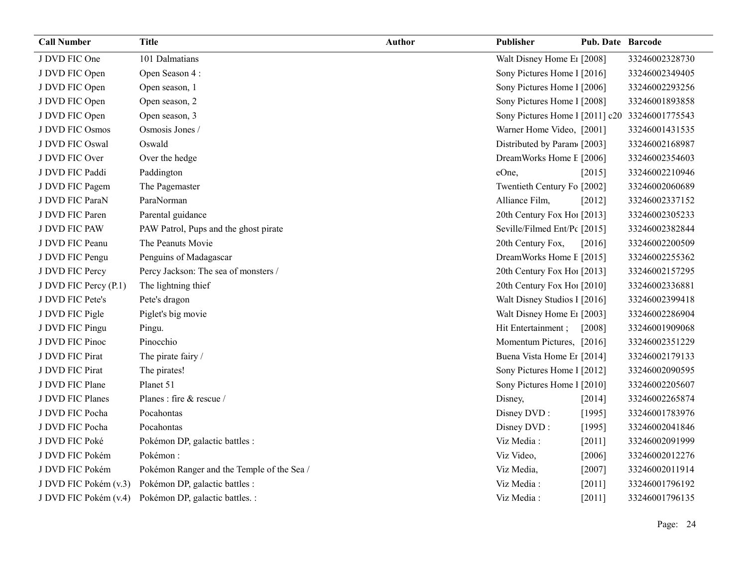| <b>Call Number</b>    | <b>Title</b>                               | <b>Author</b> | Publisher                                      | Pub. Date Barcode |                |
|-----------------------|--------------------------------------------|---------------|------------------------------------------------|-------------------|----------------|
| J DVD FIC One         | 101 Dalmatians                             |               | Walt Disney Home E1 [2008]                     |                   | 33246002328730 |
| J DVD FIC Open        | Open Season 4:                             |               | Sony Pictures Home 1 [2016]                    |                   | 33246002349405 |
| J DVD FIC Open        | Open season, 1                             |               | Sony Pictures Home 1 [2006]                    |                   | 33246002293256 |
| J DVD FIC Open        | Open season, 2                             |               | Sony Pictures Home 1 [2008]                    |                   | 33246001893858 |
| J DVD FIC Open        | Open season, 3                             |               | Sony Pictures Home 1 [2011] c20 33246001775543 |                   |                |
| J DVD FIC Osmos       | Osmosis Jones /                            |               | Warner Home Video, [2001]                      |                   | 33246001431535 |
| J DVD FIC Oswal       | Oswald                                     |               | Distributed by Param [2003]                    |                   | 33246002168987 |
| J DVD FIC Over        | Over the hedge                             |               | DreamWorks Home E [2006]                       |                   | 33246002354603 |
| J DVD FIC Paddi       | Paddington                                 |               | eOne,                                          | [2015]            | 33246002210946 |
| J DVD FIC Pagem       | The Pagemaster                             |               | Twentieth Century Fo [2002]                    |                   | 33246002060689 |
| J DVD FIC ParaN       | ParaNorman                                 |               | Alliance Film,                                 | $[2012]$          | 33246002337152 |
| J DVD FIC Paren       | Parental guidance                          |               | 20th Century Fox Ho [2013]                     |                   | 33246002305233 |
| J DVD FIC PAW         | PAW Patrol, Pups and the ghost pirate      |               | Seville/Filmed Ent/Pc [2015]                   |                   | 33246002382844 |
| J DVD FIC Peanu       | The Peanuts Movie                          |               | 20th Century Fox,                              | [2016]            | 33246002200509 |
| J DVD FIC Pengu       | Penguins of Madagascar                     |               | DreamWorks Home E [2015]                       |                   | 33246002255362 |
| J DVD FIC Percy       | Percy Jackson: The sea of monsters /       |               | 20th Century Fox Ho! [2013]                    |                   | 33246002157295 |
| J DVD FIC Percy (P.1) | The lightning thief                        |               | 20th Century Fox Ho! [2010]                    |                   | 33246002336881 |
| J DVD FIC Pete's      | Pete's dragon                              |               | Walt Disney Studios 1 [2016]                   |                   | 33246002399418 |
| J DVD FIC Pigle       | Piglet's big movie                         |               | Walt Disney Home E <sub>1</sub> [2003]         |                   | 33246002286904 |
| J DVD FIC Pingu       | Pingu.                                     |               | Hit Entertainment;                             | $[2008]$          | 33246001909068 |
| J DVD FIC Pinoc       | Pinocchio                                  |               | Momentum Pictures, [2016]                      |                   | 33246002351229 |
| J DVD FIC Pirat       | The pirate fairy /                         |               | Buena Vista Home Er [2014]                     |                   | 33246002179133 |
| J DVD FIC Pirat       | The pirates!                               |               | Sony Pictures Home 1 [2012]                    |                   | 33246002090595 |
| J DVD FIC Plane       | Planet 51                                  |               | Sony Pictures Home 1 [2010]                    |                   | 33246002205607 |
| J DVD FIC Planes      | Planes: fire & rescue /                    |               | Disney,                                        | [2014]            | 33246002265874 |
| J DVD FIC Pocha       | Pocahontas                                 |               | Disney DVD:                                    | [1995]            | 33246001783976 |
| J DVD FIC Pocha       | Pocahontas                                 |               | Disney DVD:                                    | [1995]            | 33246002041846 |
| J DVD FIC Poké        | Pokémon DP, galactic battles :             |               | Viz Media:                                     | $[2011]$          | 33246002091999 |
| J DVD FIC Pokém       | Pokémon:                                   |               | Viz Video,                                     | [2006]            | 33246002012276 |
| J DVD FIC Pokém       | Pokémon Ranger and the Temple of the Sea / |               | Viz Media,                                     | $[2007]$          | 33246002011914 |
| J DVD FIC Pokém (v.3) | Pokémon DP, galactic battles :             |               | Viz Media:                                     | [2011]            | 33246001796192 |
| J DVD FIC Pokém (v.4) | Pokémon DP, galactic battles. :            |               | Viz Media:                                     | [2011]            | 33246001796135 |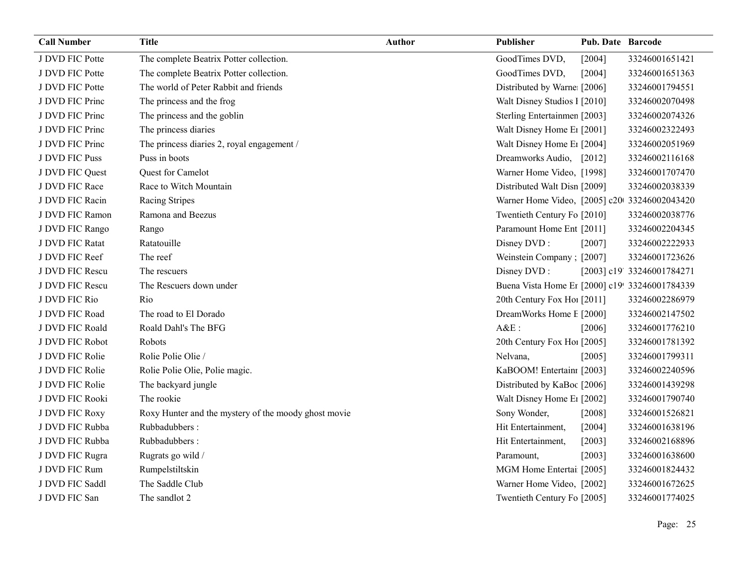| <b>Call Number</b> | <b>Title</b>                                         | Author | Publisher                                      | Pub. Date Barcode |                            |
|--------------------|------------------------------------------------------|--------|------------------------------------------------|-------------------|----------------------------|
| J DVD FIC Potte    | The complete Beatrix Potter collection.              |        | GoodTimes DVD,                                 | [2004]            | 33246001651421             |
| J DVD FIC Potte    | The complete Beatrix Potter collection.              |        | GoodTimes DVD,                                 | [2004]            | 33246001651363             |
| J DVD FIC Potte    | The world of Peter Rabbit and friends                |        | Distributed by Warne [2006]                    |                   | 33246001794551             |
| J DVD FIC Princ    | The princess and the frog                            |        | Walt Disney Studios 1 [2010]                   |                   | 33246002070498             |
| J DVD FIC Princ    | The princess and the goblin                          |        | Sterling Entertainmen [2003]                   |                   | 33246002074326             |
| J DVD FIC Princ    | The princess diaries                                 |        | Walt Disney Home E <sub>1</sub> [2001]         |                   | 33246002322493             |
| J DVD FIC Princ    | The princess diaries 2, royal engagement /           |        | Walt Disney Home E1 [2004]                     |                   | 33246002051969             |
| J DVD FIC Puss     | Puss in boots                                        |        | Dreamworks Audio, [2012]                       |                   | 33246002116168             |
| J DVD FIC Quest    | Quest for Camelot                                    |        | Warner Home Video, [1998]                      |                   | 33246001707470             |
| J DVD FIC Race     | Race to Witch Mountain                               |        | Distributed Walt Disn [2009]                   |                   | 33246002038339             |
| J DVD FIC Racin    | Racing Stripes                                       |        | Warner Home Video, [2005] c20 33246002043420   |                   |                            |
| J DVD FIC Ramon    | Ramona and Beezus                                    |        | Twentieth Century Fo [2010]                    |                   | 33246002038776             |
| J DVD FIC Rango    | Rango                                                |        | Paramount Home Ent [2011]                      |                   | 33246002204345             |
| J DVD FIC Ratat    | Ratatouille                                          |        | Disney DVD:                                    | [2007]            | 33246002222933             |
| J DVD FIC Reef     | The reef                                             |        | Weinstein Company; [2007]                      |                   | 33246001723626             |
| J DVD FIC Rescu    | The rescuers                                         |        | Disney DVD:                                    |                   | [2003] c19' 33246001784271 |
| J DVD FIC Rescu    | The Rescuers down under                              |        | Buena Vista Home Et [2000] c19! 33246001784339 |                   |                            |
| J DVD FIC Rio      | Rio                                                  |        | 20th Century Fox Ho! [2011]                    |                   | 33246002286979             |
| J DVD FIC Road     | The road to El Dorado                                |        | DreamWorks Home E [2000]                       |                   | 33246002147502             |
| J DVD FIC Roald    | Roald Dahl's The BFG                                 |        | $A&E$ :                                        | [2006]            | 33246001776210             |
| J DVD FIC Robot    | Robots                                               |        | 20th Century Fox Ho! [2005]                    |                   | 33246001781392             |
| J DVD FIC Rolie    | Rolie Polie Olie /                                   |        | Nelvana,                                       | $[2005]$          | 33246001799311             |
| J DVD FIC Rolie    | Rolie Polie Olie, Polie magic.                       |        | KaBOOM! Entertain: [2003]                      |                   | 33246002240596             |
| J DVD FIC Rolie    | The backyard jungle                                  |        | Distributed by KaBoc [2006]                    |                   | 33246001439298             |
| J DVD FIC Rooki    | The rookie                                           |        | Walt Disney Home E <sub>1</sub> [2002]         |                   | 33246001790740             |
| J DVD FIC Roxy     | Roxy Hunter and the mystery of the moody ghost movie |        | Sony Wonder,                                   | [2008]            | 33246001526821             |
| J DVD FIC Rubba    | Rubbadubbers:                                        |        | Hit Entertainment,                             | [2004]            | 33246001638196             |
| J DVD FIC Rubba    | Rubbadubbers:                                        |        | Hit Entertainment,                             | [2003]            | 33246002168896             |
| J DVD FIC Rugra    | Rugrats go wild /                                    |        | Paramount,                                     | [2003]            | 33246001638600             |
| J DVD FIC Rum      | Rumpelstiltskin                                      |        | MGM Home Entertai [2005]                       |                   | 33246001824432             |
| J DVD FIC Saddl    | The Saddle Club                                      |        | Warner Home Video, [2002]                      |                   | 33246001672625             |
| J DVD FIC San      | The sandlot 2                                        |        | Twentieth Century Fo [2005]                    |                   | 33246001774025             |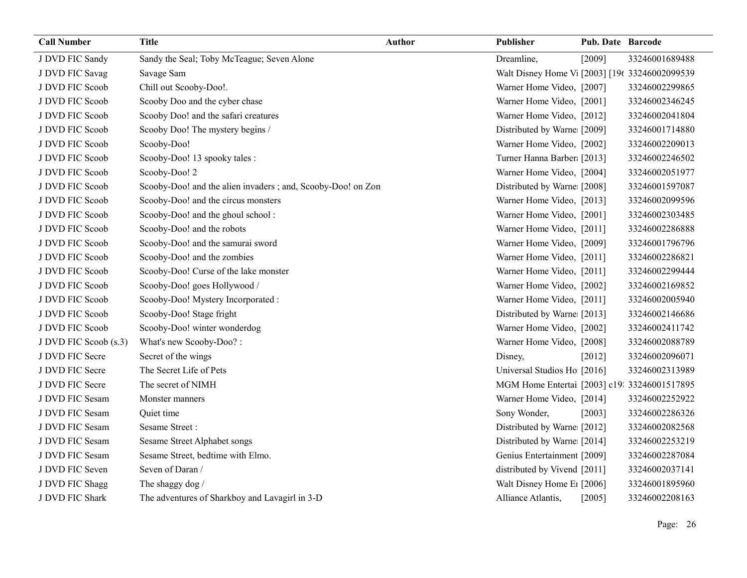| <b>Call Number</b>    | <b>Title</b>                                                 | Author | Publisher                                                  | <b>Pub. Date Barcode</b> |                |
|-----------------------|--------------------------------------------------------------|--------|------------------------------------------------------------|--------------------------|----------------|
| J DVD FIC Sandy       | Sandy the Seal; Toby McTeague; Seven Alone                   |        | Dreamline,                                                 | [2009]                   | 33246001689488 |
| J DVD FIC Savag       | Savage Sam                                                   |        | Walt Disney Home V <sub>1</sub> [2003] [19( 33246002099539 |                          |                |
| J DVD FIC Scoob       | Chill out Scooby-Doo!.                                       |        | Warner Home Video, [2007]                                  |                          | 33246002299865 |
| J DVD FIC Scoob       | Scooby Doo and the cyber chase                               |        | Warner Home Video, [2001]                                  |                          | 33246002346245 |
| J DVD FIC Scoob       | Scooby Doo! and the safari creatures                         |        | Warner Home Video, [2012]                                  |                          | 33246002041804 |
| J DVD FIC Scoob       | Scooby Doo! The mystery begins /                             |        | Distributed by Warne: [2009]                               |                          | 33246001714880 |
| J DVD FIC Scoob       | Scooby-Doo!                                                  |        | Warner Home Video, [2002]                                  |                          | 33246002209013 |
| J DVD FIC Scoob       | Scooby-Doo! 13 spooky tales :                                |        | Turner Hanna Barber [2013]                                 |                          | 33246002246502 |
| J DVD FIC Scoob       | Scooby-Doo! 2                                                |        | Warner Home Video, [2004]                                  |                          | 33246002051977 |
| J DVD FIC Scoob       | Scooby-Doo! and the alien invaders ; and, Scooby-Doo! on Zon |        | Distributed by Warne: [2008]                               |                          | 33246001597087 |
| J DVD FIC Scoob       | Scooby-Doo! and the circus monsters                          |        | Warner Home Video, [2013]                                  |                          | 33246002099596 |
| J DVD FIC Scoob       | Scooby-Doo! and the ghoul school:                            |        | Warner Home Video, [2001]                                  |                          | 33246002303485 |
| J DVD FIC Scoob       | Scooby-Doo! and the robots                                   |        | Warner Home Video, [2011]                                  |                          | 33246002286888 |
| J DVD FIC Scoob       | Scooby-Doo! and the samurai sword                            |        | Warner Home Video, [2009]                                  |                          | 33246001796796 |
| J DVD FIC Scoob       | Scooby-Doo! and the zombies                                  |        | Warner Home Video, [2011]                                  |                          | 33246002286821 |
| J DVD FIC Scoob       | Scooby-Doo! Curse of the lake monster                        |        | Warner Home Video, [2011]                                  |                          | 33246002299444 |
| J DVD FIC Scoob       | Scooby-Doo! goes Hollywood /                                 |        | Warner Home Video, [2002]                                  |                          | 33246002169852 |
| J DVD FIC Scoob       | Scooby-Doo! Mystery Incorporated :                           |        | Warner Home Video, [2011]                                  |                          | 33246002005940 |
| J DVD FIC Scoob       | Scooby-Doo! Stage fright                                     |        | Distributed by Warne [2013]                                |                          | 33246002146686 |
| J DVD FIC Scoob       | Scooby-Doo! winter wonderdog                                 |        | Warner Home Video, [2002]                                  |                          | 33246002411742 |
| J DVD FIC Scoob (s.3) | What's new Scooby-Doo?:                                      |        | Warner Home Video, [2008]                                  |                          | 33246002088789 |
| J DVD FIC Secre       | Secret of the wings                                          |        | Disney,                                                    | [2012]                   | 33246002096071 |
| J DVD FIC Secre       | The Secret Life of Pets                                      |        | Universal Studios Ho [2016]                                |                          | 33246002313989 |
| J DVD FIC Secre       | The secret of NIMH                                           |        | MGM Home Entertai [2003] c19: 33246001517895               |                          |                |
| J DVD FIC Sesam       | Monster manners                                              |        | Warner Home Video, [2014]                                  |                          | 33246002252922 |
| J DVD FIC Sesam       | Quiet time                                                   |        | Sony Wonder,                                               | [2003]                   | 33246002286326 |
| J DVD FIC Sesam       | Sesame Street:                                               |        | Distributed by Warne [2012]                                |                          | 33246002082568 |
| J DVD FIC Sesam       | Sesame Street Alphabet songs                                 |        | Distributed by Warne [2014]                                |                          | 33246002253219 |
| J DVD FIC Sesam       | Sesame Street, bedtime with Elmo.                            |        | Genius Entertainment [2009]                                |                          | 33246002287084 |
| J DVD FIC Seven       | Seven of Daran /                                             |        | distributed by Vivend [2011]                               |                          | 33246002037141 |
| J DVD FIC Shagg       | The shaggy dog /                                             |        | Walt Disney Home E <sub>1</sub> [2006]                     |                          | 33246001895960 |
| J DVD FIC Shark       | The adventures of Sharkboy and Lavagirl in 3-D               |        | Alliance Atlantis,                                         | [2005]                   | 33246002208163 |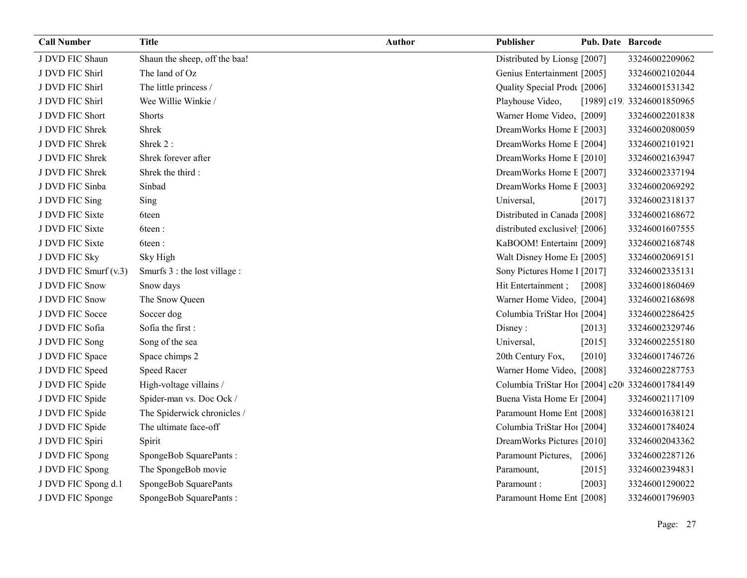| <b>Call Number</b>    | <b>Title</b>                  | Author | Publisher                                      | Pub. Date Barcode |                            |
|-----------------------|-------------------------------|--------|------------------------------------------------|-------------------|----------------------------|
| J DVD FIC Shaun       | Shaun the sheep, off the baa! |        | Distributed by Lionsg [2007]                   |                   | 33246002209062             |
| J DVD FIC Shirl       | The land of Oz                |        | Genius Entertainment [2005]                    |                   | 33246002102044             |
| J DVD FIC Shirl       | The little princess /         |        | Quality Special Prodt [2006]                   |                   | 33246001531342             |
| J DVD FIC Shirl       | Wee Willie Winkie /           |        | Playhouse Video,                               |                   | [1989] c19. 33246001850965 |
| J DVD FIC Short       | <b>Shorts</b>                 |        | Warner Home Video, [2009]                      |                   | 33246002201838             |
| J DVD FIC Shrek       | Shrek                         |        | DreamWorks Home E [2003]                       |                   | 33246002080059             |
| J DVD FIC Shrek       | Shrek 2:                      |        | DreamWorks Home E [2004]                       |                   | 33246002101921             |
| J DVD FIC Shrek       | Shrek forever after           |        | DreamWorks Home E [2010]                       |                   | 33246002163947             |
| J DVD FIC Shrek       | Shrek the third:              |        | DreamWorks Home E [2007]                       |                   | 33246002337194             |
| J DVD FIC Sinba       | Sinbad                        |        | DreamWorks Home E [2003]                       |                   | 33246002069292             |
| J DVD FIC Sing        | Sing                          |        | Universal,                                     | [2017]            | 33246002318137             |
| J DVD FIC Sixte       | 6teen                         |        | Distributed in Canada [2008]                   |                   | 33246002168672             |
| J DVD FIC Sixte       | 6teen:                        |        | distributed exclusivel [2006]                  |                   | 33246001607555             |
| J DVD FIC Sixte       | 6teen:                        |        | KaBOOM! Entertain: [2009]                      |                   | 33246002168748             |
| J DVD FIC Sky         | Sky High                      |        | Walt Disney Home E1 [2005]                     |                   | 33246002069151             |
| J DVD FIC Smurf (v.3) | Smurfs 3 : the lost village : |        | Sony Pictures Home 1 [2017]                    |                   | 33246002335131             |
| J DVD FIC Snow        | Snow days                     |        | Hit Entertainment;                             | [2008]            | 33246001860469             |
| J DVD FIC Snow        | The Snow Queen                |        | Warner Home Video, [2004]                      |                   | 33246002168698             |
| J DVD FIC Socce       | Soccer dog                    |        | Columbia TriStar Hoi [2004]                    |                   | 33246002286425             |
| J DVD FIC Sofia       | Sofia the first:              |        | Disney:                                        | $[2013]$          | 33246002329746             |
| J DVD FIC Song        | Song of the sea               |        | Universal,                                     | $[2015]$          | 33246002255180             |
| J DVD FIC Space       | Space chimps 2                |        | 20th Century Fox,                              | [2010]            | 33246001746726             |
| J DVD FIC Speed       | <b>Speed Racer</b>            |        | Warner Home Video, [2008]                      |                   | 33246002287753             |
| J DVD FIC Spide       | High-voltage villains /       |        | Columbia TriStar Hoi [2004] c20 33246001784149 |                   |                            |
| J DVD FIC Spide       | Spider-man vs. Doc Ock /      |        | Buena Vista Home Er [2004]                     |                   | 33246002117109             |
| J DVD FIC Spide       | The Spiderwick chronicles /   |        | Paramount Home Ent [2008]                      |                   | 33246001638121             |
| J DVD FIC Spide       | The ultimate face-off         |        | Columbia TriStar Hoi [2004]                    |                   | 33246001784024             |
| J DVD FIC Spiri       | Spirit                        |        | DreamWorks Pictures [2010]                     |                   | 33246002043362             |
| J DVD FIC Spong       | SpongeBob SquarePants:        |        | Paramount Pictures,                            | $[2006]$          | 33246002287126             |
| J DVD FIC Spong       | The SpongeBob movie           |        | Paramount,                                     | [2015]            | 33246002394831             |
| J DVD FIC Spong d.1   | SpongeBob SquarePants         |        | Paramount:                                     | [2003]            | 33246001290022             |
| J DVD FIC Sponge      | SpongeBob SquarePants:        |        | Paramount Home Ent [2008]                      |                   | 33246001796903             |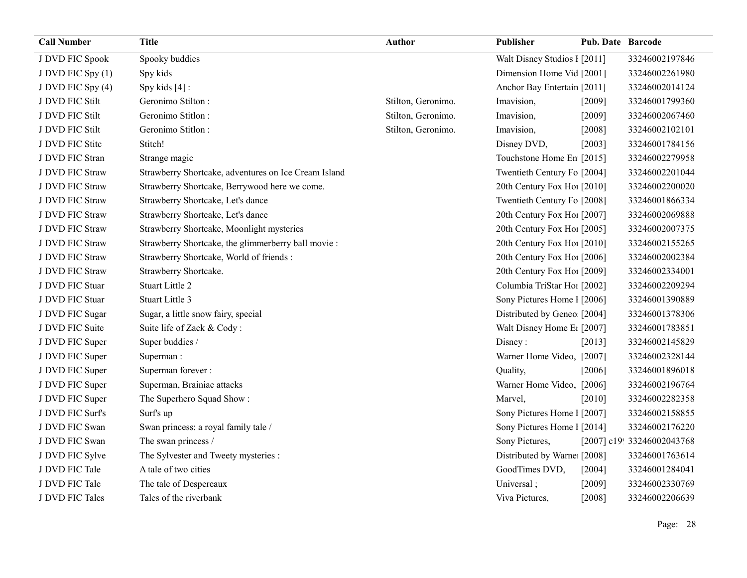| <b>Call Number</b> | <b>Title</b>                                         | Author             | Publisher                    | Pub. Date Barcode |                            |
|--------------------|------------------------------------------------------|--------------------|------------------------------|-------------------|----------------------------|
| J DVD FIC Spook    | Spooky buddies                                       |                    | Walt Disney Studios 1 [2011] |                   | 33246002197846             |
| J DVD FIC Spy (1)  | Spy kids                                             |                    | Dimension Home Vid [2001]    |                   | 33246002261980             |
| J DVD FIC Spy (4)  | Spy kids [4] :                                       |                    | Anchor Bay Entertain [2011]  |                   | 33246002014124             |
| J DVD FIC Stilt    | Geronimo Stilton:                                    | Stilton, Geronimo. | Imavision,                   | [2009]            | 33246001799360             |
| J DVD FIC Stilt    | Geronimo Stitlon:                                    | Stilton, Geronimo. | Imavision,                   | [2009]            | 33246002067460             |
| J DVD FIC Stilt    | Geronimo Stitlon:                                    | Stilton, Geronimo. | Imavision,                   | [2008]            | 33246002102101             |
| J DVD FIC Stite    | Stitch!                                              |                    | Disney DVD,                  | [2003]            | 33246001784156             |
| J DVD FIC Stran    | Strange magic                                        |                    | Touchstone Home En [2015]    |                   | 33246002279958             |
| J DVD FIC Straw    | Strawberry Shortcake, adventures on Ice Cream Island |                    | Twentieth Century Fo [2004]  |                   | 33246002201044             |
| J DVD FIC Straw    | Strawberry Shortcake, Berrywood here we come.        |                    | 20th Century Fox Ho! [2010]  |                   | 33246002200020             |
| J DVD FIC Straw    | Strawberry Shortcake, Let's dance                    |                    | Twentieth Century Fo [2008]  |                   | 33246001866334             |
| J DVD FIC Straw    | Strawberry Shortcake, Let's dance                    |                    | 20th Century Fox Ho [2007]   |                   | 33246002069888             |
| J DVD FIC Straw    | Strawberry Shortcake, Moonlight mysteries            |                    | 20th Century Fox Ho! [2005]  |                   | 33246002007375             |
| J DVD FIC Straw    | Strawberry Shortcake, the glimmerberry ball movie :  |                    | 20th Century Fox Ho! [2010]  |                   | 33246002155265             |
| J DVD FIC Straw    | Strawberry Shortcake, World of friends :             |                    | 20th Century Fox Ho! [2006]  |                   | 33246002002384             |
| J DVD FIC Straw    | Strawberry Shortcake.                                |                    | 20th Century Fox Ho! [2009]  |                   | 33246002334001             |
| J DVD FIC Stuar    | Stuart Little 2                                      |                    | Columbia TriStar Hoi [2002]  |                   | 33246002209294             |
| J DVD FIC Stuar    | Stuart Little 3                                      |                    | Sony Pictures Home 1 [2006]  |                   | 33246001390889             |
| J DVD FIC Sugar    | Sugar, a little snow fairy, special                  |                    | Distributed by Geneo [2004]  |                   | 33246001378306             |
| J DVD FIC Suite    | Suite life of Zack & Cody:                           |                    | Walt Disney Home E1 [2007]   |                   | 33246001783851             |
| J DVD FIC Super    | Super buddies /                                      |                    | Disney:                      | [2013]            | 33246002145829             |
| J DVD FIC Super    | Superman:                                            |                    | Warner Home Video, [2007]    |                   | 33246002328144             |
| J DVD FIC Super    | Superman forever:                                    |                    | Quality,                     | [2006]            | 33246001896018             |
| J DVD FIC Super    | Superman, Brainiac attacks                           |                    | Warner Home Video, [2006]    |                   | 33246002196764             |
| J DVD FIC Super    | The Superhero Squad Show:                            |                    | Marvel,                      | [2010]            | 33246002282358             |
| J DVD FIC Surf's   | Surf's up                                            |                    | Sony Pictures Home 1 [2007]  |                   | 33246002158855             |
| J DVD FIC Swan     | Swan princess: a royal family tale /                 |                    | Sony Pictures Home 1 [2014]  |                   | 33246002176220             |
| J DVD FIC Swan     | The swan princess /                                  |                    | Sony Pictures,               |                   | [2007] c19! 33246002043768 |
| J DVD FIC Sylve    | The Sylvester and Tweety mysteries :                 |                    | Distributed by Warne [2008]  |                   | 33246001763614             |
| J DVD FIC Tale     | A tale of two cities                                 |                    | GoodTimes DVD,               | [2004]            | 33246001284041             |
| J DVD FIC Tale     | The tale of Despereaux                               |                    | Universal;                   | [2009]            | 33246002330769             |
| J DVD FIC Tales    | Tales of the riverbank                               |                    | Viva Pictures,               | [2008]            | 33246002206639             |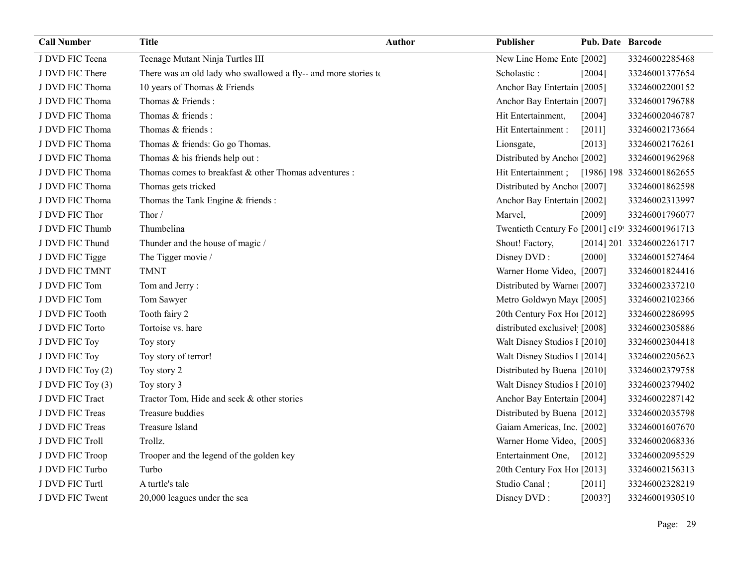| <b>Call Number</b> | <b>Title</b>                                                    | Author | Publisher                                       | <b>Pub. Date Barcode</b> |                           |
|--------------------|-----------------------------------------------------------------|--------|-------------------------------------------------|--------------------------|---------------------------|
| J DVD FIC Teena    | Teenage Mutant Ninja Turtles III                                |        | New Line Home Ente [2002]                       |                          | 33246002285468            |
| J DVD FIC There    | There was an old lady who swallowed a fly-- and more stories to |        | Scholastic:                                     | [2004]                   | 33246001377654            |
| J DVD FIC Thoma    | 10 years of Thomas & Friends                                    |        | Anchor Bay Entertain [2005]                     |                          | 33246002200152            |
| J DVD FIC Thoma    | Thomas & Friends:                                               |        | Anchor Bay Entertain [2007]                     |                          | 33246001796788            |
| J DVD FIC Thoma    | Thomas & friends:                                               |        | Hit Entertainment,                              | [2004]                   | 33246002046787            |
| J DVD FIC Thoma    | Thomas & friends:                                               |        | Hit Entertainment :                             | $[2011]$                 | 33246002173664            |
| J DVD FIC Thoma    | Thomas & friends: Go go Thomas.                                 |        | Lionsgate,                                      | [2013]                   | 33246002176261            |
| J DVD FIC Thoma    | Thomas & his friends help out :                                 |        | Distributed by Ancho [2002]                     |                          | 33246001962968            |
| J DVD FIC Thoma    | Thomas comes to breakfast & other Thomas adventures :           |        | Hit Entertainment;                              |                          | [1986] 198 33246001862655 |
| J DVD FIC Thoma    | Thomas gets tricked                                             |        | Distributed by Ancho [2007]                     |                          | 33246001862598            |
| J DVD FIC Thoma    | Thomas the Tank Engine & friends :                              |        | Anchor Bay Entertain [2002]                     |                          | 33246002313997            |
| J DVD FIC Thor     | Thor/                                                           |        | Marvel,                                         | [2009]                   | 33246001796077            |
| J DVD FIC Thumb    | Thumbelina                                                      |        | Twentieth Century Fo [2001] c19! 33246001961713 |                          |                           |
| J DVD FIC Thund    | Thunder and the house of magic /                                |        | Shout! Factory,                                 |                          | [2014] 201 33246002261717 |
| J DVD FIC Tigge    | The Tigger movie /                                              |        | Disney DVD:                                     | [2000]                   | 33246001527464            |
| J DVD FIC TMNT     | <b>TMNT</b>                                                     |        | Warner Home Video, [2007]                       |                          | 33246001824416            |
| J DVD FIC Tom      | Tom and Jerry:                                                  |        | Distributed by Warne [2007]                     |                          | 33246002337210            |
| J DVD FIC Tom      | Tom Sawyer                                                      |        | Metro Goldwyn May([2005]                        |                          | 33246002102366            |
| J DVD FIC Tooth    | Tooth fairy 2                                                   |        | 20th Century Fox Ho! [2012]                     |                          | 33246002286995            |
| J DVD FIC Torto    | Tortoise vs. hare                                               |        | distributed exclusivel [2008]                   |                          | 33246002305886            |
| J DVD FIC Toy      | Toy story                                                       |        | Walt Disney Studios I [2010]                    |                          | 33246002304418            |
| J DVD FIC Toy      | Toy story of terror!                                            |        | Walt Disney Studios 1 [2014]                    |                          | 33246002205623            |
| J DVD FIC Toy (2)  | Toy story 2                                                     |        | Distributed by Buena [2010]                     |                          | 33246002379758            |
| J DVD FIC Toy (3)  | Toy story 3                                                     |        | Walt Disney Studios I [2010]                    |                          | 33246002379402            |
| J DVD FIC Tract    | Tractor Tom, Hide and seek & other stories                      |        | Anchor Bay Entertain [2004]                     |                          | 33246002287142            |
| J DVD FIC Treas    | Treasure buddies                                                |        | Distributed by Buena [2012]                     |                          | 33246002035798            |
| J DVD FIC Treas    | Treasure Island                                                 |        | Gaiam Americas, Inc. [2002]                     |                          | 33246001607670            |
| J DVD FIC Troll    | Trollz.                                                         |        | Warner Home Video, [2005]                       |                          | 33246002068336            |
| J DVD FIC Troop    | Trooper and the legend of the golden key                        |        | Entertainment One,                              | $[2012]$                 | 33246002095529            |
| J DVD FIC Turbo    | Turbo                                                           |        | 20th Century Fox Ho! [2013]                     |                          | 33246002156313            |
| J DVD FIC Turtl    | A turtle's tale                                                 |        | Studio Canal;                                   | [2011]                   | 33246002328219            |
| J DVD FIC Twent    | 20,000 leagues under the sea                                    |        | Disney DVD:                                     | [2003?]                  | 33246001930510            |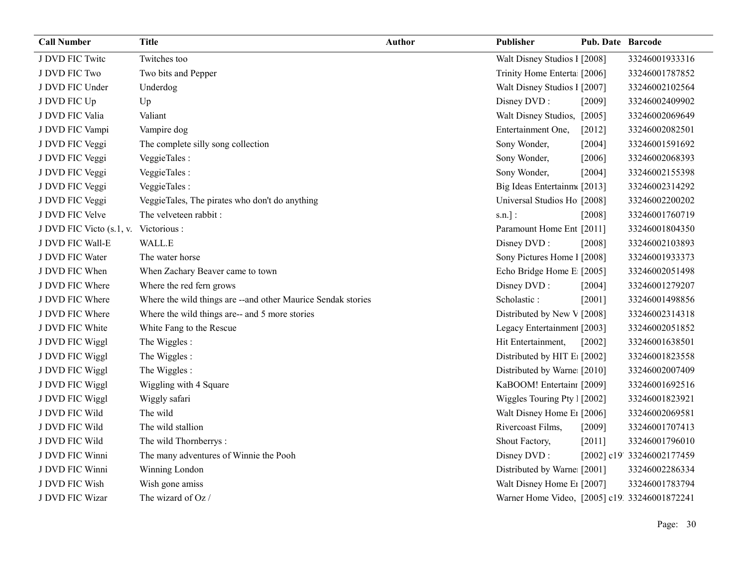| <b>Call Number</b>       | <b>Title</b>                                                  | <b>Author</b> | Publisher                                     | <b>Pub. Date Barcode</b> |                            |
|--------------------------|---------------------------------------------------------------|---------------|-----------------------------------------------|--------------------------|----------------------------|
| J DVD FIC Twite          | Twitches too                                                  |               | Walt Disney Studios I [2008]                  |                          | 33246001933316             |
| J DVD FIC Two            | Two bits and Pepper                                           |               | Trinity Home Enterta [2006]                   |                          | 33246001787852             |
| J DVD FIC Under          | Underdog                                                      |               | Walt Disney Studios I [2007]                  |                          | 33246002102564             |
| J DVD FIC Up             | Up                                                            |               | Disney DVD:                                   | [2009]                   | 33246002409902             |
| J DVD FIC Valia          | Valiant                                                       |               | Walt Disney Studios, [2005]                   |                          | 33246002069649             |
| J DVD FIC Vampi          | Vampire dog                                                   |               | Entertainment One,                            | $[2012]$                 | 33246002082501             |
| J DVD FIC Veggi          | The complete silly song collection                            |               | Sony Wonder,                                  | [2004]                   | 33246001591692             |
| J DVD FIC Veggi          | VeggieTales:                                                  |               | Sony Wonder,                                  | $[2006]$                 | 33246002068393             |
| J DVD FIC Veggi          | VeggieTales :                                                 |               | Sony Wonder,                                  | [2004]                   | 33246002155398             |
| J DVD FIC Veggi          | VeggieTales :                                                 |               | Big Ideas Entertainm([2013]                   |                          | 33246002314292             |
| J DVD FIC Veggi          | VeggieTales, The pirates who don't do anything                |               | Universal Studios Ho [2008]                   |                          | 33246002200202             |
| J DVD FIC Velve          | The velveteen rabbit :                                        |               | $s.n.$ ]:                                     | [2008]                   | 33246001760719             |
| J DVD FIC Victo (s.1, v. | Victorious :                                                  |               | Paramount Home Ent [2011]                     |                          | 33246001804350             |
| J DVD FIC Wall-E         | WALL.E                                                        |               | Disney DVD:                                   | [2008]                   | 33246002103893             |
| J DVD FIC Water          | The water horse                                               |               | Sony Pictures Home 1 [2008]                   |                          | 33246001933373             |
| J DVD FIC When           | When Zachary Beaver came to town                              |               | Echo Bridge Home E [2005]                     |                          | 33246002051498             |
| J DVD FIC Where          | Where the red fern grows                                      |               | Disney DVD:                                   | [2004]                   | 33246001279207             |
| J DVD FIC Where          | Where the wild things are -- and other Maurice Sendak stories |               | Scholastic:                                   | [2001]                   | 33246001498856             |
| J DVD FIC Where          | Where the wild things are-- and 5 more stories                |               | Distributed by New V [2008]                   |                          | 33246002314318             |
| J DVD FIC White          | White Fang to the Rescue                                      |               | Legacy Entertainmen [2003]                    |                          | 33246002051852             |
| J DVD FIC Wiggl          | The Wiggles:                                                  |               | Hit Entertainment,                            | $[2002]$                 | 33246001638501             |
| J DVD FIC Wiggl          | The Wiggles:                                                  |               | Distributed by HIT E: [2002]                  |                          | 33246001823558             |
| J DVD FIC Wiggl          | The Wiggles:                                                  |               | Distributed by Warne [2010]                   |                          | 33246002007409             |
| J DVD FIC Wiggl          | Wiggling with 4 Square                                        |               | KaBOOM! Entertainı [2009]                     |                          | 33246001692516             |
| J DVD FIC Wiggl          | Wiggly safari                                                 |               | Wiggles Touring Pty   [2002]                  |                          | 33246001823921             |
| J DVD FIC Wild           | The wild                                                      |               | Walt Disney Home E1 [2006]                    |                          | 33246002069581             |
| J DVD FIC Wild           | The wild stallion                                             |               | Rivercoast Films,                             | [2009]                   | 33246001707413             |
| J DVD FIC Wild           | The wild Thornberrys:                                         |               | Shout Factory,                                | $[2011]$                 | 33246001796010             |
| J DVD FIC Winni          | The many adventures of Winnie the Pooh                        |               | Disney DVD:                                   |                          | [2002] c19' 33246002177459 |
| J DVD FIC Winni          | Winning London                                                |               | Distributed by Warne [2001]                   |                          | 33246002286334             |
| J DVD FIC Wish           | Wish gone amiss                                               |               | Walt Disney Home E1 [2007]                    |                          | 33246001783794             |
| J DVD FIC Wizar          | The wizard of Oz /                                            |               | Warner Home Video, [2005] c19. 33246001872241 |                          |                            |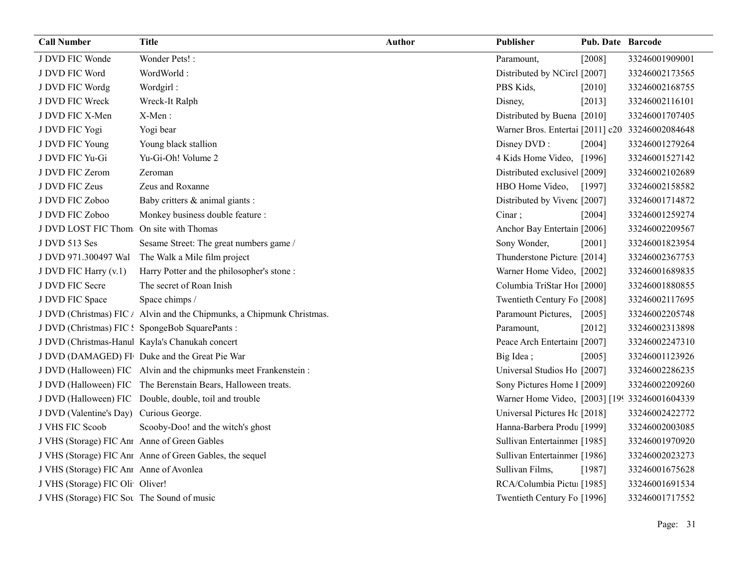| <b>Call Number</b>                           | <b>Title</b>                                                           | <b>Author</b> | Publisher                                       | Pub. Date Barcode |                |
|----------------------------------------------|------------------------------------------------------------------------|---------------|-------------------------------------------------|-------------------|----------------|
| J DVD FIC Wonde                              | Wonder Pets! :                                                         |               | Paramount,                                      | $[2008]$          | 33246001909001 |
| J DVD FIC Word                               | WordWorld:                                                             |               | Distributed by NCircl [2007]                    |                   | 33246002173565 |
| J DVD FIC Wordg                              | Wordgirl:                                                              |               | PBS Kids,                                       | $[2010]$          | 33246002168755 |
| J DVD FIC Wreck                              | Wreck-It Ralph                                                         |               | Disney,                                         | [2013]            | 33246002116101 |
| J DVD FIC X-Men                              | X-Men:                                                                 |               | Distributed by Buena [2010]                     |                   | 33246001707405 |
| J DVD FIC Yogi                               | Yogi bear                                                              |               | Warner Bros. Entertai [2011] c20 33246002084648 |                   |                |
| J DVD FIC Young                              | Young black stallion                                                   |               | Disney DVD:                                     | [2004]            | 33246001279264 |
| J DVD FIC Yu-Gi                              | Yu-Gi-Oh! Volume 2                                                     |               | 4 Kids Home Video, [1996]                       |                   | 33246001527142 |
| J DVD FIC Zerom                              | Zeroman                                                                |               | Distributed exclusive [2009]                    |                   | 33246002102689 |
| J DVD FIC Zeus                               | Zeus and Roxanne                                                       |               | HBO Home Video,                                 | [1997]            | 33246002158582 |
| J DVD FIC Zoboo                              | Baby critters & animal giants :                                        |               | Distributed by Vivenc [2007]                    |                   | 33246001714872 |
| J DVD FIC Zoboo                              | Monkey business double feature :                                       |               | Cinar;                                          | [2004]            | 33246001259274 |
| J DVD LOST FIC Thom                          | On site with Thomas                                                    |               | Anchor Bay Entertain [2006]                     |                   | 33246002209567 |
| J DVD 513 Ses                                | Sesame Street: The great numbers game /                                |               | Sony Wonder,                                    | $[2001]$          | 33246001823954 |
| J DVD 971.300497 Wal                         | The Walk a Mile film project                                           |               | Thunderstone Picture [2014]                     |                   | 33246002367753 |
| J DVD FIC Harry (v.1)                        | Harry Potter and the philosopher's stone:                              |               | Warner Home Video, [2002]                       |                   | 33246001689835 |
| J DVD FIC Secre                              | The secret of Roan Inish                                               |               | Columbia TriStar Hoi [2000]                     |                   | 33246001880855 |
| J DVD FIC Space                              | Space chimps /                                                         |               | Twentieth Century Fo [2008]                     |                   | 33246002117695 |
|                                              | J DVD (Christmas) FIC / Alvin and the Chipmunks, a Chipmunk Christmas. |               | Paramount Pictures,                             | $[2005]$          | 33246002205748 |
|                                              | J DVD (Christmas) FIC: SpongeBob SquarePants:                          |               | Paramount,                                      | $[2012]$          | 33246002313898 |
|                                              | J DVD (Christmas-Hanul Kayla's Chanukah concert                        |               | Peace Arch Entertain [2007]                     |                   | 33246002247310 |
|                                              | J DVD (DAMAGED) FI Duke and the Great Pie War                          |               | Big Idea;                                       | [2005]            | 33246001123926 |
|                                              | J DVD (Halloween) FIC Alvin and the chipmunks meet Frankenstein:       |               | Universal Studios Ho [2007]                     |                   | 33246002286235 |
|                                              | J DVD (Halloween) FIC The Berenstain Bears, Halloween treats.          |               | Sony Pictures Home 1 [2009]                     |                   | 33246002209260 |
|                                              | J DVD (Halloween) FIC Double, double, toil and trouble                 |               | Warner Home Video, [2003] [199 33246001604339   |                   |                |
| J DVD (Valentine's Day) Curious George.      |                                                                        |               | Universal Pictures Hc [2018]                    |                   | 33246002422772 |
| J VHS FIC Scoob                              | Scooby-Doo! and the witch's ghost                                      |               | Hanna-Barbera Produ [1999]                      |                   | 33246002003085 |
| J VHS (Storage) FIC Ant Anne of Green Gables |                                                                        |               | Sullivan Entertainmer [1985]                    |                   | 33246001970920 |
|                                              | J VHS (Storage) FIC Ann Anne of Green Gables, the sequel               |               | Sullivan Entertainmer [1986]                    |                   | 33246002023273 |
| J VHS (Storage) FIC Ant Anne of Avonlea      |                                                                        |               | Sullivan Films,                                 | [1987]            | 33246001675628 |
| J VHS (Storage) FIC Oli Oliver!              |                                                                        |               | RCA/Columbia Pictu: [1985]                      |                   | 33246001691534 |
| J VHS (Storage) FIC Sot The Sound of music   |                                                                        |               | Twentieth Century Fo [1996]                     |                   | 33246001717552 |
|                                              |                                                                        |               |                                                 |                   |                |